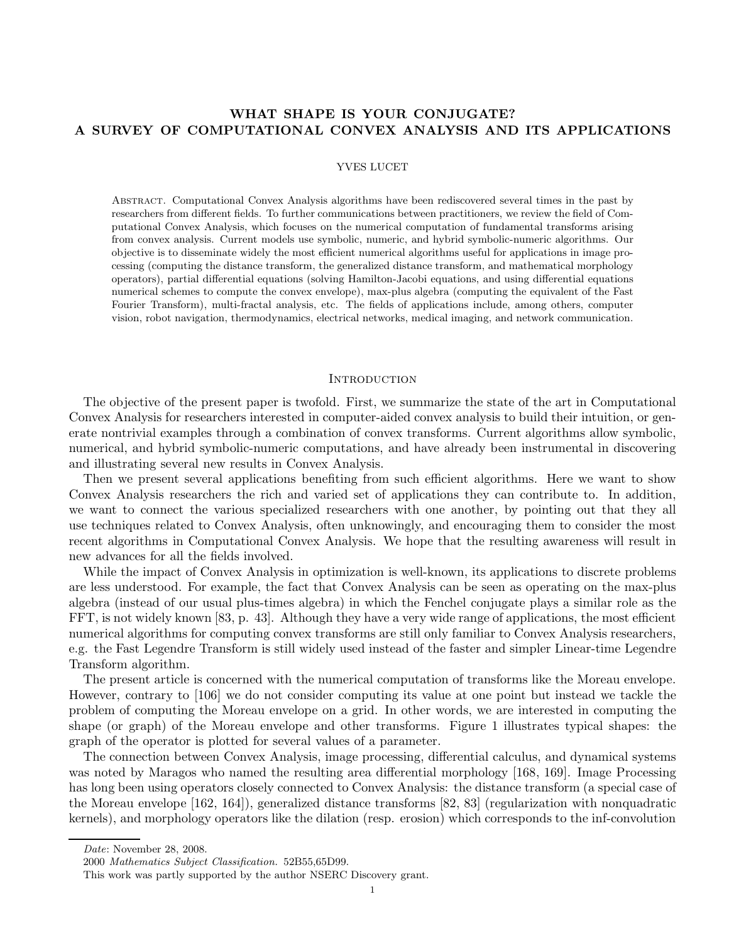# WHAT SHAPE IS YOUR CONJUGATE? A SURVEY OF COMPUTATIONAL CONVEX ANALYSIS AND ITS APPLICATIONS

### YVES LUCET

Abstract. Computational Convex Analysis algorithms have been rediscovered several times in the past by researchers from different fields. To further communications between practitioners, we review the field of Computational Convex Analysis, which focuses on the numerical computation of fundamental transforms arising from convex analysis. Current models use symbolic, numeric, and hybrid symbolic-numeric algorithms. Our objective is to disseminate widely the most efficient numerical algorithms useful for applications in image processing (computing the distance transform, the generalized distance transform, and mathematical morphology operators), partial differential equations (solving Hamilton-Jacobi equations, and using differential equations numerical schemes to compute the convex envelope), max-plus algebra (computing the equivalent of the Fast Fourier Transform), multi-fractal analysis, etc. The fields of applications include, among others, computer vision, robot navigation, thermodynamics, electrical networks, medical imaging, and network communication.

### **INTRODUCTION**

The objective of the present paper is twofold. First, we summarize the state of the art in Computational Convex Analysis for researchers interested in computer-aided convex analysis to build their intuition, or generate nontrivial examples through a combination of convex transforms. Current algorithms allow symbolic, numerical, and hybrid symbolic-numeric computations, and have already been instrumental in discovering and illustrating several new results in Convex Analysis.

Then we present several applications benefiting from such efficient algorithms. Here we want to show Convex Analysis researchers the rich and varied set of applications they can contribute to. In addition, we want to connect the various specialized researchers with one another, by pointing out that they all use techniques related to Convex Analysis, often unknowingly, and encouraging them to consider the most recent algorithms in Computational Convex Analysis. We hope that the resulting awareness will result in new advances for all the fields involved.

While the impact of Convex Analysis in optimization is well-known, its applications to discrete problems are less understood. For example, the fact that Convex Analysis can be seen as operating on the max-plus algebra (instead of our usual plus-times algebra) in which the Fenchel conjugate plays a similar role as the FFT, is not widely known [83, p. 43]. Although they have a very wide range of applications, the most efficient numerical algorithms for computing convex transforms are still only familiar to Convex Analysis researchers, e.g. the Fast Legendre Transform is still widely used instead of the faster and simpler Linear-time Legendre Transform algorithm.

The present article is concerned with the numerical computation of transforms like the Moreau envelope. However, contrary to [106] we do not consider computing its value at one point but instead we tackle the problem of computing the Moreau envelope on a grid. In other words, we are interested in computing the shape (or graph) of the Moreau envelope and other transforms. Figure 1 illustrates typical shapes: the graph of the operator is plotted for several values of a parameter.

The connection between Convex Analysis, image processing, differential calculus, and dynamical systems was noted by Maragos who named the resulting area differential morphology [168, 169]. Image Processing has long been using operators closely connected to Convex Analysis: the distance transform (a special case of the Moreau envelope [162, 164]), generalized distance transforms [82, 83] (regularization with nonquadratic kernels), and morphology operators like the dilation (resp. erosion) which corresponds to the inf-convolution

Date: November 28, 2008.

<sup>2000</sup> Mathematics Subject Classification. 52B55,65D99.

This work was partly supported by the author NSERC Discovery grant.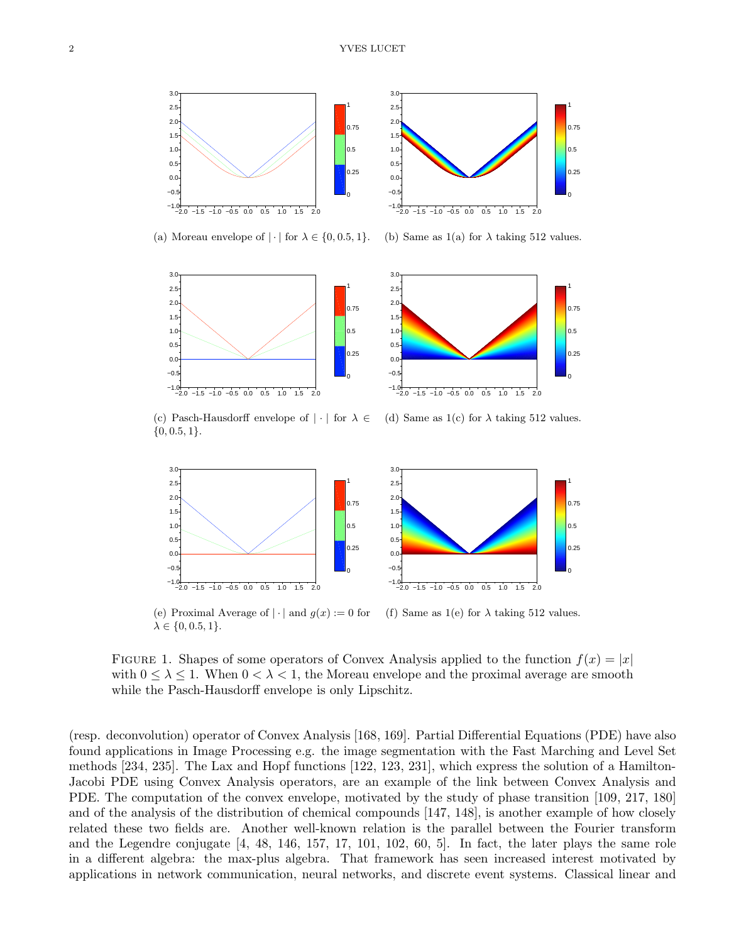

(a) Moreau envelope of  $|\cdot|$  for  $\lambda \in \{0, 0.5, 1\}$ .





(c) Pasch-Hausdorff envelope of  $|\cdot|$  for  $\lambda \in$  $\{0, 0.5, 1\}.$ (d) Same as  $1(c)$  for  $\lambda$  taking 512 values.



(e) Proximal Average of  $|\cdot|$  and  $g(x) := 0$  for  $\lambda \in \{0, 0.5, 1\}.$ (f) Same as 1(e) for  $\lambda$  taking 512 values.

FIGURE 1. Shapes of some operators of Convex Analysis applied to the function  $f(x) = |x|$ with  $0 \leq \lambda \leq 1$ . When  $0 < \lambda < 1$ , the Moreau envelope and the proximal average are smooth while the Pasch-Hausdorff envelope is only Lipschitz.

(resp. deconvolution) operator of Convex Analysis [168, 169]. Partial Differential Equations (PDE) have also found applications in Image Processing e.g. the image segmentation with the Fast Marching and Level Set methods [234, 235]. The Lax and Hopf functions [122, 123, 231], which express the solution of a Hamilton-Jacobi PDE using Convex Analysis operators, are an example of the link between Convex Analysis and PDE. The computation of the convex envelope, motivated by the study of phase transition [109, 217, 180] and of the analysis of the distribution of chemical compounds [147, 148], is another example of how closely related these two fields are. Another well-known relation is the parallel between the Fourier transform and the Legendre conjugate [4, 48, 146, 157, 17, 101, 102, 60, 5]. In fact, the later plays the same role in a different algebra: the max-plus algebra. That framework has seen increased interest motivated by applications in network communication, neural networks, and discrete event systems. Classical linear and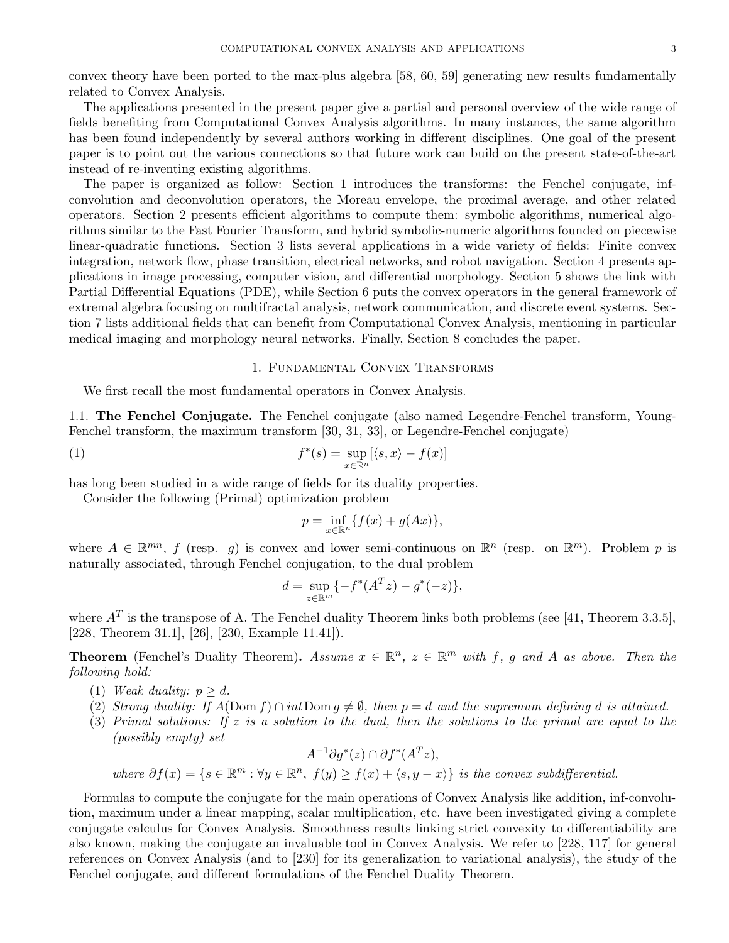convex theory have been ported to the max-plus algebra [58, 60, 59] generating new results fundamentally related to Convex Analysis.

The applications presented in the present paper give a partial and personal overview of the wide range of fields benefiting from Computational Convex Analysis algorithms. In many instances, the same algorithm has been found independently by several authors working in different disciplines. One goal of the present paper is to point out the various connections so that future work can build on the present state-of-the-art instead of re-inventing existing algorithms.

The paper is organized as follow: Section 1 introduces the transforms: the Fenchel conjugate, infconvolution and deconvolution operators, the Moreau envelope, the proximal average, and other related operators. Section 2 presents efficient algorithms to compute them: symbolic algorithms, numerical algorithms similar to the Fast Fourier Transform, and hybrid symbolic-numeric algorithms founded on piecewise linear-quadratic functions. Section 3 lists several applications in a wide variety of fields: Finite convex integration, network flow, phase transition, electrical networks, and robot navigation. Section 4 presents applications in image processing, computer vision, and differential morphology. Section 5 shows the link with Partial Differential Equations (PDE), while Section 6 puts the convex operators in the general framework of extremal algebra focusing on multifractal analysis, network communication, and discrete event systems. Section 7 lists additional fields that can benefit from Computational Convex Analysis, mentioning in particular medical imaging and morphology neural networks. Finally, Section 8 concludes the paper.

### 1. Fundamental Convex Transforms

We first recall the most fundamental operators in Convex Analysis.

1.1. The Fenchel Conjugate. The Fenchel conjugate (also named Legendre-Fenchel transform, Young-Fenchel transform, the maximum transform [30, 31, 33], or Legendre-Fenchel conjugate)

(1) 
$$
f^*(s) = \sup_{x \in \mathbb{R}^n} [\langle s, x \rangle - f(x)]
$$

has long been studied in a wide range of fields for its duality properties.

Consider the following (Primal) optimization problem

$$
p = \inf_{x \in \mathbb{R}^n} \{ f(x) + g(Ax) \},
$$

where  $A \in \mathbb{R}^{mn}$ , f (resp. g) is convex and lower semi-continuous on  $\mathbb{R}^n$  (resp. on  $\mathbb{R}^m$ ). Problem p is naturally associated, through Fenchel conjugation, to the dual problem

$$
d = \sup_{z \in \mathbb{R}^m} \{-f^*(A^T z) - g^*(-z)\},\
$$

where  $A<sup>T</sup>$  is the transpose of A. The Fenchel duality Theorem links both problems (see [41, Theorem 3.3.5], [228, Theorem 31.1], [26], [230, Example 11.41]).

**Theorem** (Fenchel's Duality Theorem). Assume  $x \in \mathbb{R}^n$ ,  $z \in \mathbb{R}^m$  with f, g and A as above. Then the following hold:

- (1) Weak duality:  $p > d$ .
- (2) Strong duality: If  $A(\text{Dom } f) \cap int \text{Dom } g \neq \emptyset$ , then  $p = d$  and the supremum defining d is attained.
- (3) Primal solutions: If z is a solution to the dual, then the solutions to the primal are equal to the (possibly empty) set

$$
A^{-1}\partial g^*(z) \cap \partial f^*(A^T z),
$$
  
where  $\partial f(x) = \{s \in \mathbb{R}^m : \forall y \in \mathbb{R}^n, f(y) \ge f(x) + \langle s, y - x \rangle\}$  is the convex subdifferential.

Formulas to compute the conjugate for the main operations of Convex Analysis like addition, inf-convolution, maximum under a linear mapping, scalar multiplication, etc. have been investigated giving a complete conjugate calculus for Convex Analysis. Smoothness results linking strict convexity to differentiability are also known, making the conjugate an invaluable tool in Convex Analysis. We refer to [228, 117] for general references on Convex Analysis (and to [230] for its generalization to variational analysis), the study of the Fenchel conjugate, and different formulations of the Fenchel Duality Theorem.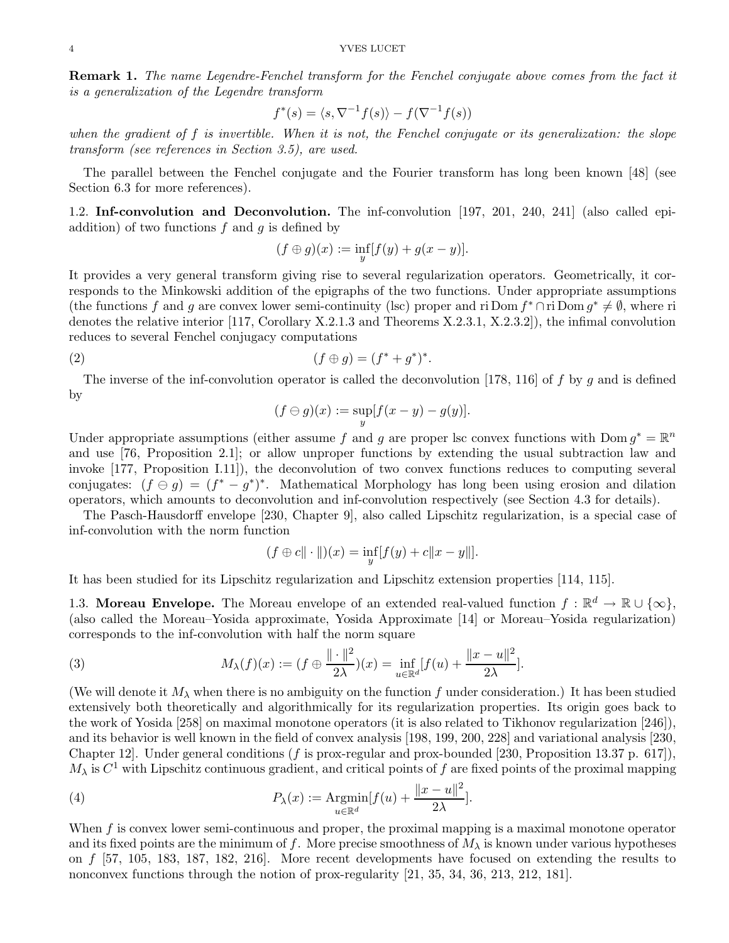Remark 1. The name Legendre-Fenchel transform for the Fenchel conjugate above comes from the fact it is a generalization of the Legendre transform

$$
f^*(s) = \langle s, \nabla^{-1} f(s) \rangle - f(\nabla^{-1} f(s))
$$

when the gradient of f is invertible. When it is not, the Fenchel conjugate or its generalization: the slope transform (see references in Section 3.5), are used.

The parallel between the Fenchel conjugate and the Fourier transform has long been known [48] (see Section 6.3 for more references).

1.2. Inf-convolution and Deconvolution. The inf-convolution [197, 201, 240, 241] (also called epiaddition) of two functions  $f$  and  $g$  is defined by

$$
(f \oplus g)(x) := \inf_{y} [f(y) + g(x - y)].
$$

It provides a very general transform giving rise to several regularization operators. Geometrically, it corresponds to the Minkowski addition of the epigraphs of the two functions. Under appropriate assumptions (the functions f and g are convex lower semi-continuity (lsc) proper and ri Dom  $f^* \cap \text{ri}\, \text{Dom } g^* \neq \emptyset$ , where ri denotes the relative interior [117, Corollary X.2.1.3 and Theorems X.2.3.1, X.2.3.2]), the infimal convolution reduces to several Fenchel conjugacy computations

(2) 
$$
(f \oplus g) = (f^* + g^*)^*.
$$

The inverse of the inf-convolution operator is called the deconvolution [178, 116] of f by g and is defined by

$$
(f \ominus g)(x) := \sup_{y} [f(x - y) - g(y)].
$$

Under appropriate assumptions (either assume f and g are proper lsc convex functions with Dom  $g^* = \mathbb{R}^n$ and use [76, Proposition 2.1]; or allow unproper functions by extending the usual subtraction law and invoke [177, Proposition I.11]), the deconvolution of two convex functions reduces to computing several conjugates:  $(f \ominus g) = (f^* - g^*)^*$ . Mathematical Morphology has long been using erosion and dilation operators, which amounts to deconvolution and inf-convolution respectively (see Section 4.3 for details).

The Pasch-Hausdorff envelope [230, Chapter 9], also called Lipschitz regularization, is a special case of inf-convolution with the norm function

$$
(f \oplus c \|\cdot\|)(x) = \inf_{y} [f(y) + c \|x - y\|].
$$

It has been studied for its Lipschitz regularization and Lipschitz extension properties [114, 115].

1.3. Moreau Envelope. The Moreau envelope of an extended real-valued function  $f : \mathbb{R}^d \to \mathbb{R} \cup \{\infty\},$ (also called the Moreau–Yosida approximate, Yosida Approximate [14] or Moreau–Yosida regularization) corresponds to the inf-convolution with half the norm square

(3) 
$$
M_{\lambda}(f)(x) := (f \oplus \frac{\| \cdot \|^2}{2\lambda})(x) = \inf_{u \in \mathbb{R}^d} [f(u) + \frac{\|x - u\|^2}{2\lambda}].
$$

(We will denote it  $M_{\lambda}$  when there is no ambiguity on the function f under consideration.) It has been studied extensively both theoretically and algorithmically for its regularization properties. Its origin goes back to the work of Yosida [258] on maximal monotone operators (it is also related to Tikhonov regularization [246]), and its behavior is well known in the field of convex analysis [198, 199, 200, 228] and variational analysis [230, Chapter 12. Under general conditions (f is prox-regular and prox-bounded [230, Proposition 13.37 p. 617]),  $M_\lambda$  is  $C^1$  with Lipschitz continuous gradient, and critical points of f are fixed points of the proximal mapping

(4) 
$$
P_{\lambda}(x) := \underset{u \in \mathbb{R}^d}{\text{Argmin}}[f(u) + \frac{\|x - u\|^2}{2\lambda}].
$$

When  $f$  is convex lower semi-continuous and proper, the proximal mapping is a maximal monotone operator and its fixed points are the minimum of f. More precise smoothness of  $M_\lambda$  is known under various hypotheses on f [57, 105, 183, 187, 182, 216]. More recent developments have focused on extending the results to nonconvex functions through the notion of prox-regularity [21, 35, 34, 36, 213, 212, 181].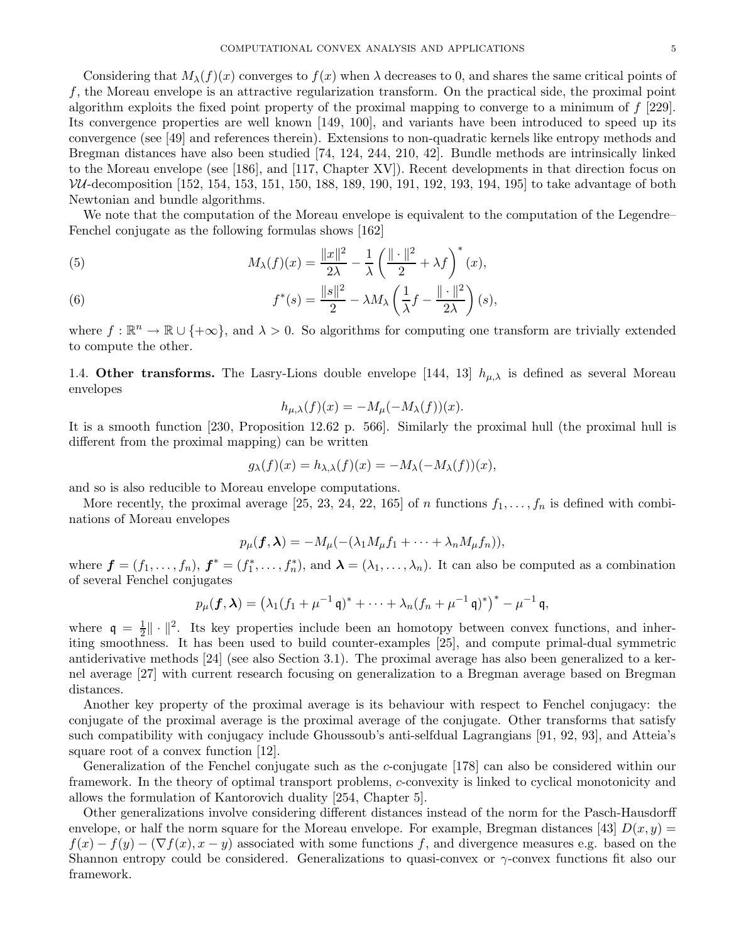Considering that  $M_{\lambda}(f)(x)$  converges to  $f(x)$  when  $\lambda$  decreases to 0, and shares the same critical points of  $f$ , the Moreau envelope is an attractive regularization transform. On the practical side, the proximal point algorithm exploits the fixed point property of the proximal mapping to converge to a minimum of f [229]. Its convergence properties are well known [149, 100], and variants have been introduced to speed up its convergence (see [49] and references therein). Extensions to non-quadratic kernels like entropy methods and Bregman distances have also been studied [74, 124, 244, 210, 42]. Bundle methods are intrinsically linked to the Moreau envelope (see [186], and [117, Chapter XV]). Recent developments in that direction focus on VU-decomposition [152, 154, 153, 151, 150, 188, 189, 190, 191, 192, 193, 194, 195] to take advantage of both Newtonian and bundle algorithms.

We note that the computation of the Moreau envelope is equivalent to the computation of the Legendre– Fenchel conjugate as the following formulas shows [162]

(5) 
$$
M_{\lambda}(f)(x) = \frac{\|x\|^2}{2\lambda} - \frac{1}{\lambda} \left(\frac{\|\cdot\|^2}{2} + \lambda f\right)^*(x),
$$

(6) 
$$
f^*(s) = \frac{\|s\|^2}{2} - \lambda M_\lambda \left(\frac{1}{\lambda}f - \frac{\|\cdot\|^2}{2\lambda}\right)(s),
$$

where  $f: \mathbb{R}^n \to \mathbb{R} \cup \{+\infty\}$ , and  $\lambda > 0$ . So algorithms for computing one transform are trivially extended to compute the other.

1.4. Other transforms. The Lasry-Lions double envelope [144, 13]  $h_{\mu,\lambda}$  is defined as several Moreau envelopes

$$
h_{\mu,\lambda}(f)(x) = -M_{\mu}(-M_{\lambda}(f))(x).
$$

It is a smooth function [230, Proposition 12.62 p. 566]. Similarly the proximal hull (the proximal hull is different from the proximal mapping) can be written

$$
g_{\lambda}(f)(x) = h_{\lambda,\lambda}(f)(x) = -M_{\lambda}(-M_{\lambda}(f))(x),
$$

and so is also reducible to Moreau envelope computations.

More recently, the proximal average [25, 23, 24, 22, 165] of n functions  $f_1, \ldots, f_n$  is defined with combinations of Moreau envelopes

$$
p_{\mu}(\boldsymbol{f},\boldsymbol{\lambda})=-M_{\mu}(-(\lambda_1M_{\mu}f_1+\cdots+\lambda_nM_{\mu}f_n)),
$$

where  $\mathbf{f} = (f_1, \ldots, f_n)$ ,  $\mathbf{f}^* = (f_1^*, \ldots, f_n^*)$ , and  $\boldsymbol{\lambda} = (\lambda_1, \ldots, \lambda_n)$ . It can also be computed as a combination of several Fenchel conjugates

$$
p_{\mu}(\bm{f},\bm{\lambda}) = (\lambda_1(f_1 + \mu^{-1}\bm{\mathfrak{q}})^* + \cdots + \lambda_n(f_n + \mu^{-1}\bm{\mathfrak{q}})^*)^* - \mu^{-1}\bm{\mathfrak{q}},
$$

where  $\mathfrak{q} = \frac{1}{2} \|\cdot\|^2$ . Its key properties include been an homotopy between convex functions, and inheriting smoothness. It has been used to build counter-examples [25], and compute primal-dual symmetric antiderivative methods [24] (see also Section 3.1). The proximal average has also been generalized to a kernel average [27] with current research focusing on generalization to a Bregman average based on Bregman distances.

Another key property of the proximal average is its behaviour with respect to Fenchel conjugacy: the conjugate of the proximal average is the proximal average of the conjugate. Other transforms that satisfy such compatibility with conjugacy include Ghoussoub's anti-selfdual Lagrangians [91, 92, 93], and Atteia's square root of a convex function [12].

Generalization of the Fenchel conjugate such as the c-conjugate [178] can also be considered within our framework. In the theory of optimal transport problems, c-convexity is linked to cyclical monotonicity and allows the formulation of Kantorovich duality [254, Chapter 5].

Other generalizations involve considering different distances instead of the norm for the Pasch-Hausdorff envelope, or half the norm square for the Moreau envelope. For example, Bregman distances [43]  $D(x, y)$  =  $f(x) - f(y) - (\nabla f(x), x - y)$  associated with some functions f, and divergence measures e.g. based on the Shannon entropy could be considered. Generalizations to quasi-convex or  $\gamma$ -convex functions fit also our framework.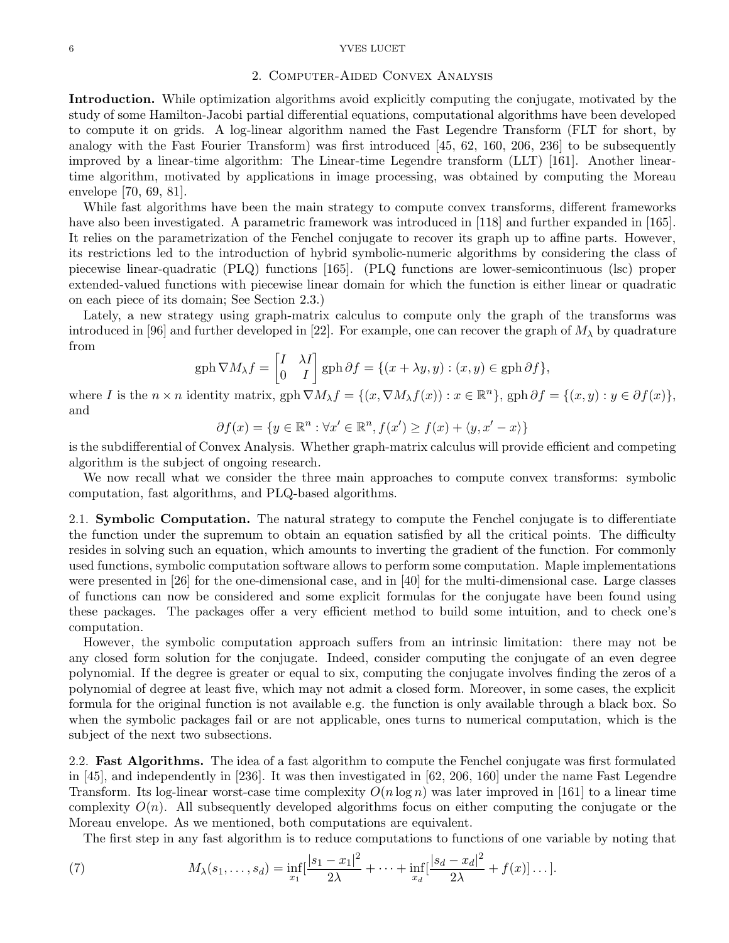### 2. Computer-Aided Convex Analysis

Introduction. While optimization algorithms avoid explicitly computing the conjugate, motivated by the study of some Hamilton-Jacobi partial differential equations, computational algorithms have been developed to compute it on grids. A log-linear algorithm named the Fast Legendre Transform (FLT for short, by analogy with the Fast Fourier Transform) was first introduced [45, 62, 160, 206, 236] to be subsequently improved by a linear-time algorithm: The Linear-time Legendre transform (LLT) [161]. Another lineartime algorithm, motivated by applications in image processing, was obtained by computing the Moreau envelope [70, 69, 81].

While fast algorithms have been the main strategy to compute convex transforms, different frameworks have also been investigated. A parametric framework was introduced in [118] and further expanded in [165]. It relies on the parametrization of the Fenchel conjugate to recover its graph up to affine parts. However, its restrictions led to the introduction of hybrid symbolic-numeric algorithms by considering the class of piecewise linear-quadratic (PLQ) functions [165]. (PLQ functions are lower-semicontinuous (lsc) proper extended-valued functions with piecewise linear domain for which the function is either linear or quadratic on each piece of its domain; See Section 2.3.)

Lately, a new strategy using graph-matrix calculus to compute only the graph of the transforms was introduced in [96] and further developed in [22]. For example, one can recover the graph of  $M_\lambda$  by quadrature from

$$
\text{gph}\,\nabla M_{\lambda}f = \begin{bmatrix} I & \lambda I \\ 0 & I \end{bmatrix} \text{gph}\,\partial f = \{(x + \lambda y, y) : (x, y) \in \text{gph}\,\partial f\},\
$$

where I is the  $n \times n$  identity matrix,  $gph \nabla M_\lambda f = \{(x, \nabla M_\lambda f(x)) : x \in \mathbb{R}^n\}$ ,  $gph \partial f = \{(x, y) : y \in \partial f(x)\}$ , and

$$
\partial f(x) = \{ y \in \mathbb{R}^n : \forall x' \in \mathbb{R}^n, f(x') \ge f(x) + \langle y, x' - x \rangle \}
$$

is the subdifferential of Convex Analysis. Whether graph-matrix calculus will provide efficient and competing algorithm is the subject of ongoing research.

We now recall what we consider the three main approaches to compute convex transforms: symbolic computation, fast algorithms, and PLQ-based algorithms.

2.1. Symbolic Computation. The natural strategy to compute the Fenchel conjugate is to differentiate the function under the supremum to obtain an equation satisfied by all the critical points. The difficulty resides in solving such an equation, which amounts to inverting the gradient of the function. For commonly used functions, symbolic computation software allows to perform some computation. Maple implementations were presented in [26] for the one-dimensional case, and in [40] for the multi-dimensional case. Large classes of functions can now be considered and some explicit formulas for the conjugate have been found using these packages. The packages offer a very efficient method to build some intuition, and to check one's computation.

However, the symbolic computation approach suffers from an intrinsic limitation: there may not be any closed form solution for the conjugate. Indeed, consider computing the conjugate of an even degree polynomial. If the degree is greater or equal to six, computing the conjugate involves finding the zeros of a polynomial of degree at least five, which may not admit a closed form. Moreover, in some cases, the explicit formula for the original function is not available e.g. the function is only available through a black box. So when the symbolic packages fail or are not applicable, ones turns to numerical computation, which is the subject of the next two subsections.

2.2. Fast Algorithms. The idea of a fast algorithm to compute the Fenchel conjugate was first formulated in [45], and independently in [236]. It was then investigated in [62, 206, 160] under the name Fast Legendre Transform. Its log-linear worst-case time complexity  $O(n \log n)$  was later improved in [161] to a linear time complexity  $O(n)$ . All subsequently developed algorithms focus on either computing the conjugate or the Moreau envelope. As we mentioned, both computations are equivalent.

The first step in any fast algorithm is to reduce computations to functions of one variable by noting that

(7) 
$$
M_{\lambda}(s_1,\ldots,s_d) = \inf_{x_1} \left[\frac{|s_1 - x_1|^2}{2\lambda} + \cdots + \inf_{x_d} \left[\frac{|s_d - x_d|^2}{2\lambda} + f(x)\right] \ldots\right].
$$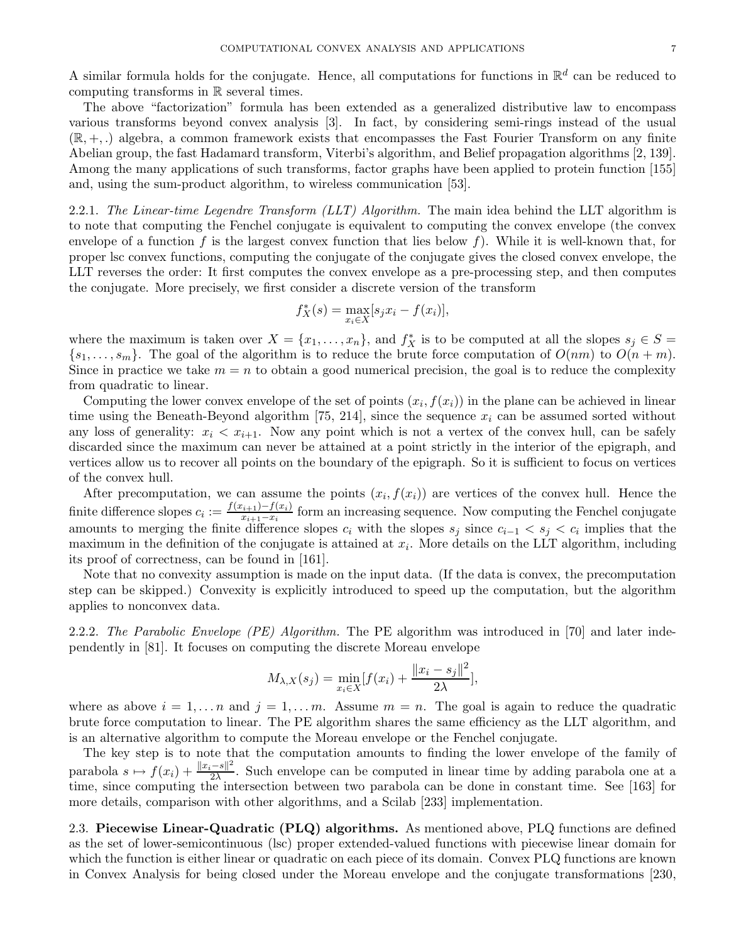A similar formula holds for the conjugate. Hence, all computations for functions in  $\mathbb{R}^d$  can be reduced to computing transforms in R several times.

The above "factorization" formula has been extended as a generalized distributive law to encompass various transforms beyond convex analysis [3]. In fact, by considering semi-rings instead of the usual  $(\mathbb{R}, +, \cdot)$  algebra, a common framework exists that encompasses the Fast Fourier Transform on any finite Abelian group, the fast Hadamard transform, Viterbi's algorithm, and Belief propagation algorithms [2, 139]. Among the many applications of such transforms, factor graphs have been applied to protein function [155] and, using the sum-product algorithm, to wireless communication [53].

2.2.1. The Linear-time Legendre Transform (LLT) Algorithm. The main idea behind the LLT algorithm is to note that computing the Fenchel conjugate is equivalent to computing the convex envelope (the convex envelope of a function f is the largest convex function that lies below f). While it is well-known that, for proper lsc convex functions, computing the conjugate of the conjugate gives the closed convex envelope, the LLT reverses the order: It first computes the convex envelope as a pre-processing step, and then computes the conjugate. More precisely, we first consider a discrete version of the transform

$$
f_X^*(s) = \max_{x_i \in X} [s_j x_i - f(x_i)],
$$

where the maximum is taken over  $X = \{x_1, \ldots, x_n\}$ , and  $f_X^*$  is to be computed at all the slopes  $s_j \in S =$  $\{s_1, \ldots, s_m\}$ . The goal of the algorithm is to reduce the brute force computation of  $O(nm)$  to  $O(n + m)$ . Since in practice we take  $m = n$  to obtain a good numerical precision, the goal is to reduce the complexity from quadratic to linear.

Computing the lower convex envelope of the set of points  $(x_i, f(x_i))$  in the plane can be achieved in linear time using the Beneath-Beyond algorithm [75, 214], since the sequence  $x_i$  can be assumed sorted without any loss of generality:  $x_i < x_{i+1}$ . Now any point which is not a vertex of the convex hull, can be safely discarded since the maximum can never be attained at a point strictly in the interior of the epigraph, and vertices allow us to recover all points on the boundary of the epigraph. So it is sufficient to focus on vertices of the convex hull.

After precomputation, we can assume the points  $(x_i, f(x_i))$  are vertices of the convex hull. Hence the finite difference slopes  $c_i := \frac{f(x_{i+1}) - f(x_i)}{x_{i+1} - x_i}$  $\frac{x_{i+1}-f(x_i)}{x_{i+1}-x_i}$  form an increasing sequence. Now computing the Fenchel conjugate amounts to merging the finite difference slopes  $c_i$  with the slopes  $s_j$  since  $c_{i-1} < s_j < c_i$  implies that the maximum in the definition of the conjugate is attained at  $x_i$ . More details on the LLT algorithm, including its proof of correctness, can be found in [161].

Note that no convexity assumption is made on the input data. (If the data is convex, the precomputation step can be skipped.) Convexity is explicitly introduced to speed up the computation, but the algorithm applies to nonconvex data.

2.2.2. The Parabolic Envelope (PE) Algorithm. The PE algorithm was introduced in [70] and later independently in [81]. It focuses on computing the discrete Moreau envelope

$$
M_{\lambda,X}(s_j) = \min_{x_i \in X} [f(x_i) + \frac{||x_i - s_j||^2}{2\lambda}],
$$

where as above  $i = 1, \ldots n$  and  $j = 1, \ldots m$ . Assume  $m = n$ . The goal is again to reduce the quadratic brute force computation to linear. The PE algorithm shares the same efficiency as the LLT algorithm, and is an alternative algorithm to compute the Moreau envelope or the Fenchel conjugate.

The key step is to note that the computation amounts to finding the lower envelope of the family of parabola  $s \mapsto f(x_i) + \frac{||x_i-s||^2}{2\lambda}$  $\frac{2-\frac{3}{2\lambda}}{2\lambda}$ . Such envelope can be computed in linear time by adding parabola one at a time, since computing the intersection between two parabola can be done in constant time. See [163] for more details, comparison with other algorithms, and a Scilab [233] implementation.

2.3. Piecewise Linear-Quadratic (PLQ) algorithms. As mentioned above, PLQ functions are defined as the set of lower-semicontinuous (lsc) proper extended-valued functions with piecewise linear domain for which the function is either linear or quadratic on each piece of its domain. Convex PLQ functions are known in Convex Analysis for being closed under the Moreau envelope and the conjugate transformations [230,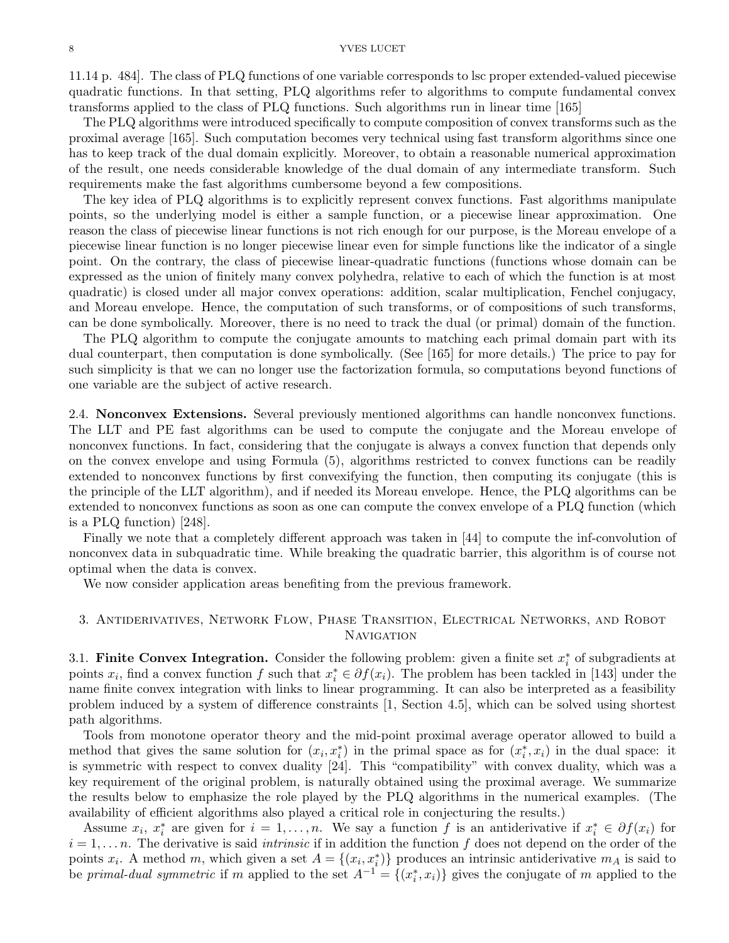11.14 p. 484]. The class of PLQ functions of one variable corresponds to lsc proper extended-valued piecewise quadratic functions. In that setting, PLQ algorithms refer to algorithms to compute fundamental convex transforms applied to the class of PLQ functions. Such algorithms run in linear time [165]

The PLQ algorithms were introduced specifically to compute composition of convex transforms such as the proximal average [165]. Such computation becomes very technical using fast transform algorithms since one has to keep track of the dual domain explicitly. Moreover, to obtain a reasonable numerical approximation of the result, one needs considerable knowledge of the dual domain of any intermediate transform. Such requirements make the fast algorithms cumbersome beyond a few compositions.

The key idea of PLQ algorithms is to explicitly represent convex functions. Fast algorithms manipulate points, so the underlying model is either a sample function, or a piecewise linear approximation. One reason the class of piecewise linear functions is not rich enough for our purpose, is the Moreau envelope of a piecewise linear function is no longer piecewise linear even for simple functions like the indicator of a single point. On the contrary, the class of piecewise linear-quadratic functions (functions whose domain can be expressed as the union of finitely many convex polyhedra, relative to each of which the function is at most quadratic) is closed under all major convex operations: addition, scalar multiplication, Fenchel conjugacy, and Moreau envelope. Hence, the computation of such transforms, or of compositions of such transforms, can be done symbolically. Moreover, there is no need to track the dual (or primal) domain of the function.

The PLQ algorithm to compute the conjugate amounts to matching each primal domain part with its dual counterpart, then computation is done symbolically. (See [165] for more details.) The price to pay for such simplicity is that we can no longer use the factorization formula, so computations beyond functions of one variable are the subject of active research.

2.4. Nonconvex Extensions. Several previously mentioned algorithms can handle nonconvex functions. The LLT and PE fast algorithms can be used to compute the conjugate and the Moreau envelope of nonconvex functions. In fact, considering that the conjugate is always a convex function that depends only on the convex envelope and using Formula (5), algorithms restricted to convex functions can be readily extended to nonconvex functions by first convexifying the function, then computing its conjugate (this is the principle of the LLT algorithm), and if needed its Moreau envelope. Hence, the PLQ algorithms can be extended to nonconvex functions as soon as one can compute the convex envelope of a PLQ function (which is a PLQ function) [248].

Finally we note that a completely different approach was taken in [44] to compute the inf-convolution of nonconvex data in subquadratic time. While breaking the quadratic barrier, this algorithm is of course not optimal when the data is convex.

We now consider application areas benefiting from the previous framework.

# 3. Antiderivatives, Network Flow, Phase Transition, Electrical Networks, and Robot **NAVIGATION**

3.1. Finite Convex Integration. Consider the following problem: given a finite set  $x_i^*$  of subgradients at points  $x_i$ , find a convex function f such that  $x_i^* \in \partial f(x_i)$ . The problem has been tackled in [143] under the name finite convex integration with links to linear programming. It can also be interpreted as a feasibility problem induced by a system of difference constraints [1, Section 4.5], which can be solved using shortest path algorithms.

Tools from monotone operator theory and the mid-point proximal average operator allowed to build a method that gives the same solution for  $(x_i, x_i^*)$  in the primal space as for  $(x_i^*, x_i)$  in the dual space: it is symmetric with respect to convex duality [24]. This "compatibility" with convex duality, which was a key requirement of the original problem, is naturally obtained using the proximal average. We summarize the results below to emphasize the role played by the PLQ algorithms in the numerical examples. (The availability of efficient algorithms also played a critical role in conjecturing the results.)

Assume  $x_i, x_i^*$  are given for  $i = 1, ..., n$ . We say a function f is an antiderivative if  $x_i^* \in \partial f(x_i)$  for  $i = 1, \ldots, n$ . The derivative is said *intrinsic* if in addition the function f does not depend on the order of the points  $x_i$ . A method m, which given a set  $A = \{(x_i, x_i^*)\}$  produces an intrinsic antiderivative  $m_A$  is said to be primal-dual symmetric if m applied to the set  $A^{-1} = \{(x_i^*, x_i)\}\$ gives the conjugate of m applied to the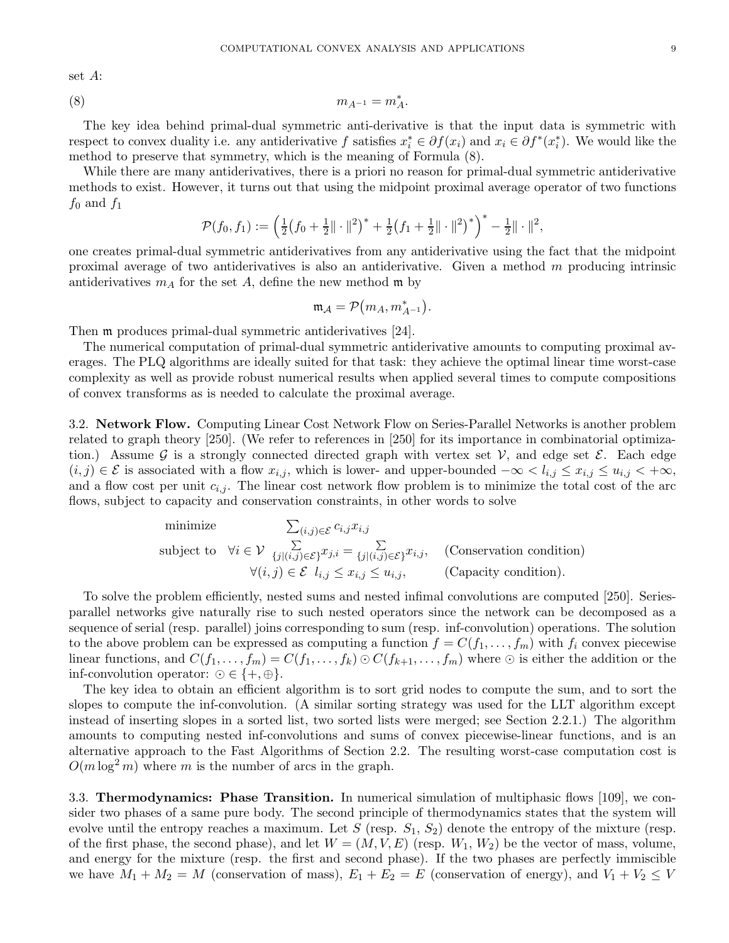set A:

(8) 
$$
m_{A^{-1}} = m_A^*.
$$

The key idea behind primal-dual symmetric anti-derivative is that the input data is symmetric with respect to convex duality i.e. any antiderivative f satisfies  $x_i^* \in \partial f(x_i)$  and  $x_i \in \partial f^*(x_i^*)$ . We would like the method to preserve that symmetry, which is the meaning of Formula (8).

While there are many antiderivatives, there is a priori no reason for primal-dual symmetric antiderivative methods to exist. However, it turns out that using the midpoint proximal average operator of two functions  $f_0$  and  $f_1$ 

$$
\mathcal{P}(f_0, f_1) := \left(\frac{1}{2}\left(f_0 + \frac{1}{2} \|\cdot\|^2\right)^* + \frac{1}{2}\left(f_1 + \frac{1}{2} \|\cdot\|^2\right)^*\right)^* - \frac{1}{2} \|\cdot\|^2,
$$

one creates primal-dual symmetric antiderivatives from any antiderivative using the fact that the midpoint proximal average of two antiderivatives is also an antiderivative. Given a method  $m$  producing intrinsic antiderivatives  $m_A$  for the set A, define the new method  $\mathfrak{m}$  by

$$
\mathfrak{m}_{\mathcal{A}}=\mathcal{P}\big(m_A,m_{A^{-1}}^*\big).
$$

Then m produces primal-dual symmetric antiderivatives [24].

The numerical computation of primal-dual symmetric antiderivative amounts to computing proximal averages. The PLQ algorithms are ideally suited for that task: they achieve the optimal linear time worst-case complexity as well as provide robust numerical results when applied several times to compute compositions of convex transforms as is needed to calculate the proximal average.

3.2. Network Flow. Computing Linear Cost Network Flow on Series-Parallel Networks is another problem related to graph theory [250]. (We refer to references in [250] for its importance in combinatorial optimization.) Assume G is a strongly connected directed graph with vertex set  $\mathcal{V}$ , and edge set  $\mathcal{E}$ . Each edge  $(i, j) \in \mathcal{E}$  is associated with a flow  $x_{i,j}$ , which is lower- and upper-bounded  $-\infty < l_{i,j} \leq x_{i,j} \leq u_{i,j} < +\infty$ , and a flow cost per unit  $c_{i,j}$ . The linear cost network flow problem is to minimize the total cost of the arc flows, subject to capacity and conservation constraints, in other words to solve

minimize 
$$
\sum_{(i,j)\in \mathcal{E}} c_{i,j} x_{i,j}
$$
  
subject to  $\forall i \in \mathcal{V}$   $\{j | (i,j) \in \mathcal{E}\} x_{j,i} = \{j | (i,j) \in \mathcal{E}\} x_{i,j},$  (Conservation condition)  

$$
\forall (i,j) \in \mathcal{E}
$$
  $l_{i,j} \leq x_{i,j} \leq u_{i,j},$  (Capacity condition).

To solve the problem efficiently, nested sums and nested infimal convolutions are computed [250]. Seriesparallel networks give naturally rise to such nested operators since the network can be decomposed as a sequence of serial (resp. parallel) joins corresponding to sum (resp. inf-convolution) operations. The solution to the above problem can be expressed as computing a function  $f = C(f_1, \ldots, f_m)$  with  $f_i$  convex piecewise linear functions, and  $C(f_1, \ldots, f_m) = C(f_1, \ldots, f_k) \odot C(f_{k+1}, \ldots, f_m)$  where  $\odot$  is either the addition or the inf-convolution operator:  $\odot \in \{+, \oplus\}.$ 

The key idea to obtain an efficient algorithm is to sort grid nodes to compute the sum, and to sort the slopes to compute the inf-convolution. (A similar sorting strategy was used for the LLT algorithm except instead of inserting slopes in a sorted list, two sorted lists were merged; see Section 2.2.1.) The algorithm amounts to computing nested inf-convolutions and sums of convex piecewise-linear functions, and is an alternative approach to the Fast Algorithms of Section 2.2. The resulting worst-case computation cost is  $O(m \log^2 m)$  where m is the number of arcs in the graph.

3.3. Thermodynamics: Phase Transition. In numerical simulation of multiphasic flows [109], we consider two phases of a same pure body. The second principle of thermodynamics states that the system will evolve until the entropy reaches a maximum. Let S (resp.  $S_1, S_2$ ) denote the entropy of the mixture (resp. of the first phase, the second phase), and let  $W = (M, V, E)$  (resp.  $W_1, W_2$ ) be the vector of mass, volume, and energy for the mixture (resp. the first and second phase). If the two phases are perfectly immiscible we have  $M_1 + M_2 = M$  (conservation of mass),  $E_1 + E_2 = E$  (conservation of energy), and  $V_1 + V_2 \leq V$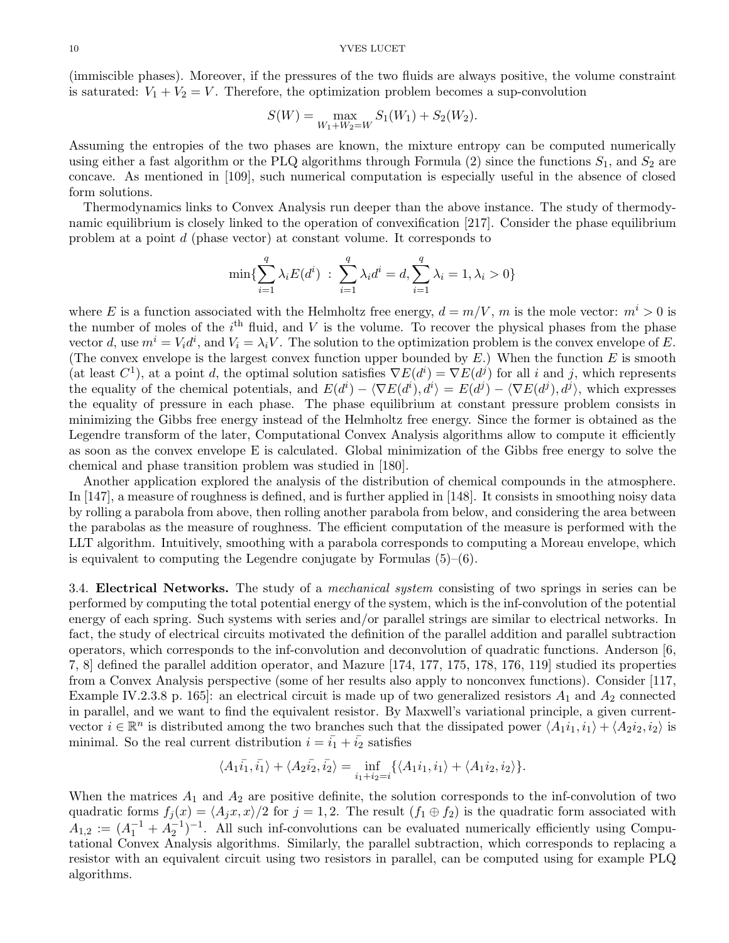(immiscible phases). Moreover, if the pressures of the two fluids are always positive, the volume constraint is saturated:  $V_1 + V_2 = V$ . Therefore, the optimization problem becomes a sup-convolution

$$
S(W) = \max_{W_1 + W_2 = W} S_1(W_1) + S_2(W_2).
$$

Assuming the entropies of the two phases are known, the mixture entropy can be computed numerically using either a fast algorithm or the PLQ algorithms through Formula  $(2)$  since the functions  $S_1$ , and  $S_2$  are concave. As mentioned in [109], such numerical computation is especially useful in the absence of closed form solutions.

Thermodynamics links to Convex Analysis run deeper than the above instance. The study of thermodynamic equilibrium is closely linked to the operation of convexification [217]. Consider the phase equilibrium problem at a point d (phase vector) at constant volume. It corresponds to

$$
\min \{ \sum_{i=1}^{q} \lambda_i E(d^i) \; : \; \sum_{i=1}^{q} \lambda_i d^i = d, \sum_{i=1}^{q} \lambda_i = 1, \lambda_i > 0 \}
$$

where E is a function associated with the Helmholtz free energy,  $d = m/V$ , m is the mole vector:  $m<sup>i</sup> > 0$  is the number of moles of the  $i<sup>th</sup>$  fluid, and V is the volume. To recover the physical phases from the phase vector d, use  $m^i = V_i d^i$ , and  $V_i = \lambda_i V$ . The solution to the optimization problem is the convex envelope of E. (The convex envelope is the largest convex function upper bounded by  $E$ .) When the function  $E$  is smooth (at least  $C^1$ ), at a point d, the optimal solution satisfies  $\nabla E(d^i) = \nabla E(d^j)$  for all i and j, which represents the equality of the chemical potentials, and  $E(d^i) - \langle \nabla E(d^i), d^i \rangle = E(d^j) - \langle \nabla E(d^j), d^j \rangle$ , which expresses the equality of pressure in each phase. The phase equilibrium at constant pressure problem consists in minimizing the Gibbs free energy instead of the Helmholtz free energy. Since the former is obtained as the Legendre transform of the later, Computational Convex Analysis algorithms allow to compute it efficiently as soon as the convex envelope E is calculated. Global minimization of the Gibbs free energy to solve the chemical and phase transition problem was studied in [180].

Another application explored the analysis of the distribution of chemical compounds in the atmosphere. In [147], a measure of roughness is defined, and is further applied in [148]. It consists in smoothing noisy data by rolling a parabola from above, then rolling another parabola from below, and considering the area between the parabolas as the measure of roughness. The efficient computation of the measure is performed with the LLT algorithm. Intuitively, smoothing with a parabola corresponds to computing a Moreau envelope, which is equivalent to computing the Legendre conjugate by Formulas (5)–(6).

3.4. Electrical Networks. The study of a *mechanical system* consisting of two springs in series can be performed by computing the total potential energy of the system, which is the inf-convolution of the potential energy of each spring. Such systems with series and/or parallel strings are similar to electrical networks. In fact, the study of electrical circuits motivated the definition of the parallel addition and parallel subtraction operators, which corresponds to the inf-convolution and deconvolution of quadratic functions. Anderson [6, 7, 8] defined the parallel addition operator, and Mazure [174, 177, 175, 178, 176, 119] studied its properties from a Convex Analysis perspective (some of her results also apply to nonconvex functions). Consider [117, Example IV.2.3.8 p. 165. an electrical circuit is made up of two generalized resistors  $A_1$  and  $A_2$  connected in parallel, and we want to find the equivalent resistor. By Maxwell's variational principle, a given currentvector  $i \in \mathbb{R}^n$  is distributed among the two branches such that the dissipated power  $\langle A_1 i_1, i_1 \rangle + \langle A_2 i_2, i_2 \rangle$  is minimal. So the real current distribution  $i = \overline{i_1} + \overline{i_2}$  satisfies

$$
\langle A_1i_1, i_1 \rangle + \langle A_2i_2, i_2 \rangle = \inf_{i_1+i_2=i} \{ \langle A_1i_1, i_1 \rangle + \langle A_1i_2, i_2 \rangle \}.
$$

When the matrices  $A_1$  and  $A_2$  are positive definite, the solution corresponds to the inf-convolution of two quadratic forms  $f_j(x) = \langle A_j x, x \rangle/2$  for  $j = 1, 2$ . The result  $(f_1 \oplus f_2)$  is the quadratic form associated with  $A_{1,2} := (A_1^{-1} + A_2^{-1})^{-1}$ . All such inf-convolutions can be evaluated numerically efficiently using Computational Convex Analysis algorithms. Similarly, the parallel subtraction, which corresponds to replacing a resistor with an equivalent circuit using two resistors in parallel, can be computed using for example PLQ algorithms.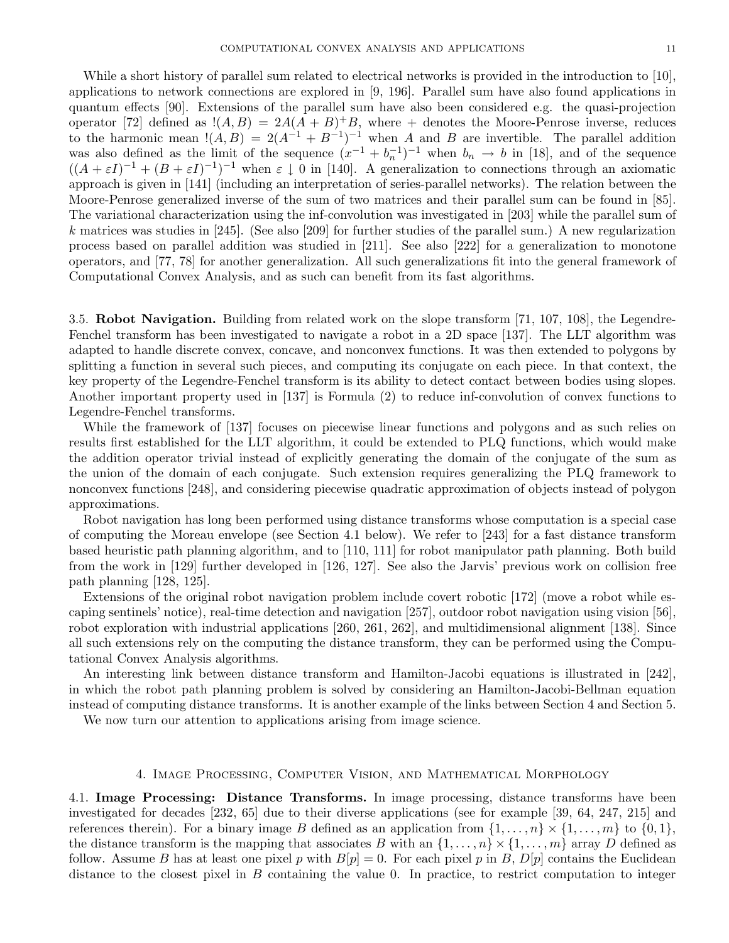While a short history of parallel sum related to electrical networks is provided in the introduction to [10], applications to network connections are explored in [9, 196]. Parallel sum have also found applications in quantum effects [90]. Extensions of the parallel sum have also been considered e.g. the quasi-projection operator [72] defined as  $!(A, B) = 2A(A + B)^{+}B$ , where + denotes the Moore-Penrose inverse, reduces to the harmonic mean  $!(A, B) = 2(A^{-1} + B^{-1})^{-1}$  when A and B are invertible. The parallel addition was also defined as the limit of the sequence  $(x^{-1} + b_n^{-1})^{-1}$  when  $b_n \to b$  in [18], and of the sequence  $((A + \varepsilon I)^{-1} + (B + \varepsilon I)^{-1})^{-1}$  when  $\varepsilon \downarrow 0$  in [140]. A generalization to connections through an axiomatic approach is given in [141] (including an interpretation of series-parallel networks). The relation between the Moore-Penrose generalized inverse of the sum of two matrices and their parallel sum can be found in [85]. The variational characterization using the inf-convolution was investigated in [203] while the parallel sum of k matrices was studies in [245]. (See also [209] for further studies of the parallel sum.) A new regularization process based on parallel addition was studied in [211]. See also [222] for a generalization to monotone operators, and [77, 78] for another generalization. All such generalizations fit into the general framework of Computational Convex Analysis, and as such can benefit from its fast algorithms.

3.5. Robot Navigation. Building from related work on the slope transform [71, 107, 108], the Legendre-Fenchel transform has been investigated to navigate a robot in a 2D space [137]. The LLT algorithm was adapted to handle discrete convex, concave, and nonconvex functions. It was then extended to polygons by splitting a function in several such pieces, and computing its conjugate on each piece. In that context, the key property of the Legendre-Fenchel transform is its ability to detect contact between bodies using slopes. Another important property used in [137] is Formula (2) to reduce inf-convolution of convex functions to Legendre-Fenchel transforms.

While the framework of [137] focuses on piecewise linear functions and polygons and as such relies on results first established for the LLT algorithm, it could be extended to PLQ functions, which would make the addition operator trivial instead of explicitly generating the domain of the conjugate of the sum as the union of the domain of each conjugate. Such extension requires generalizing the PLQ framework to nonconvex functions [248], and considering piecewise quadratic approximation of objects instead of polygon approximations.

Robot navigation has long been performed using distance transforms whose computation is a special case of computing the Moreau envelope (see Section 4.1 below). We refer to [243] for a fast distance transform based heuristic path planning algorithm, and to [110, 111] for robot manipulator path planning. Both build from the work in [129] further developed in [126, 127]. See also the Jarvis' previous work on collision free path planning [128, 125].

Extensions of the original robot navigation problem include covert robotic [172] (move a robot while escaping sentinels' notice), real-time detection and navigation [257], outdoor robot navigation using vision [56], robot exploration with industrial applications [260, 261, 262], and multidimensional alignment [138]. Since all such extensions rely on the computing the distance transform, they can be performed using the Computational Convex Analysis algorithms.

An interesting link between distance transform and Hamilton-Jacobi equations is illustrated in [242], in which the robot path planning problem is solved by considering an Hamilton-Jacobi-Bellman equation instead of computing distance transforms. It is another example of the links between Section 4 and Section 5.

We now turn our attention to applications arising from image science.

## 4. Image Processing, Computer Vision, and Mathematical Morphology

4.1. Image Processing: Distance Transforms. In image processing, distance transforms have been investigated for decades [232, 65] due to their diverse applications (see for example [39, 64, 247, 215] and references therein). For a binary image B defined as an application from  $\{1, \ldots, n\} \times \{1, \ldots, m\}$  to  $\{0, 1\}$ , the distance transform is the mapping that associates B with an  $\{1,\ldots,n\}\times\{1,\ldots,m\}$  array D defined as follow. Assume B has at least one pixel p with  $B[p] = 0$ . For each pixel p in B,  $D[p]$  contains the Euclidean distance to the closest pixel in  $B$  containing the value 0. In practice, to restrict computation to integer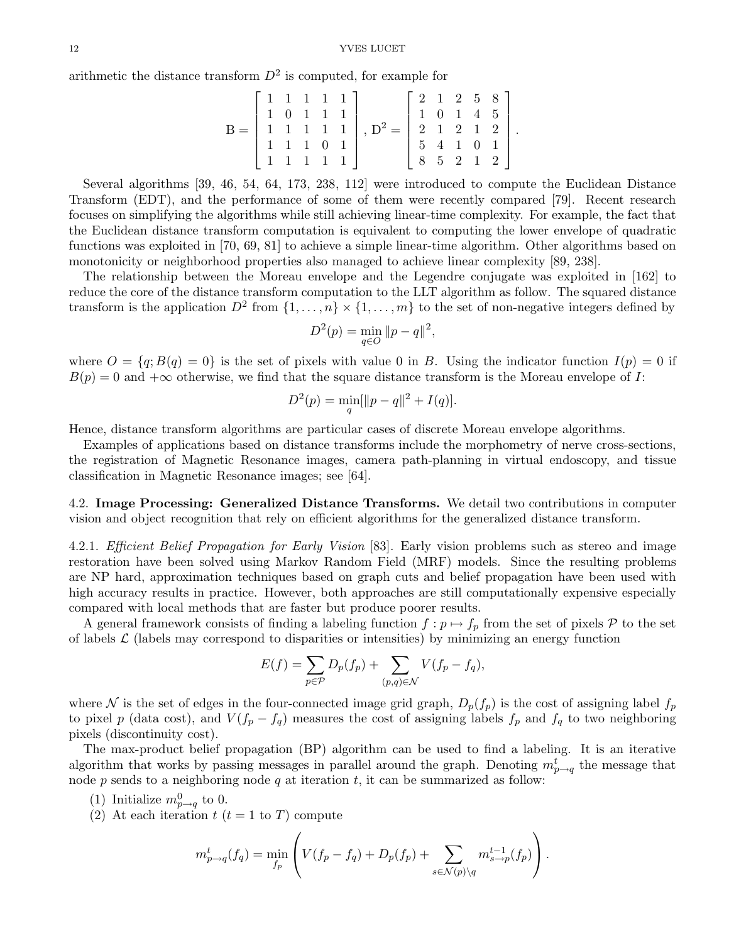arithmetic the distance transform  $D^2$  is computed, for example for

$$
B = \begin{bmatrix} 1 & 1 & 1 & 1 & 1 \\ 1 & 0 & 1 & 1 & 1 \\ 1 & 1 & 1 & 1 & 1 \\ 1 & 1 & 1 & 0 & 1 \\ 1 & 1 & 1 & 1 & 1 \end{bmatrix}, D^{2} = \begin{bmatrix} 2 & 1 & 2 & 5 & 8 \\ 1 & 0 & 1 & 4 & 5 \\ 2 & 1 & 2 & 1 & 2 \\ 5 & 4 & 1 & 0 & 1 \\ 8 & 5 & 2 & 1 & 2 \end{bmatrix}.
$$

Several algorithms [39, 46, 54, 64, 173, 238, 112] were introduced to compute the Euclidean Distance Transform (EDT), and the performance of some of them were recently compared [79]. Recent research focuses on simplifying the algorithms while still achieving linear-time complexity. For example, the fact that the Euclidean distance transform computation is equivalent to computing the lower envelope of quadratic functions was exploited in [70, 69, 81] to achieve a simple linear-time algorithm. Other algorithms based on monotonicity or neighborhood properties also managed to achieve linear complexity [89, 238].

The relationship between the Moreau envelope and the Legendre conjugate was exploited in [162] to reduce the core of the distance transform computation to the LLT algorithm as follow. The squared distance transform is the application  $D^2$  from  $\{1,\ldots,n\} \times \{1,\ldots,m\}$  to the set of non-negative integers defined by

$$
D^{2}(p) = \min_{q \in O} \|p - q\|^{2},
$$

where  $O = \{q; B(q) = 0\}$  is the set of pixels with value 0 in B. Using the indicator function  $I(p) = 0$  if  $B(p) = 0$  and  $+\infty$  otherwise, we find that the square distance transform is the Moreau envelope of I:

$$
D^{2}(p) = \min_{q} [||p - q||^{2} + I(q)].
$$

Hence, distance transform algorithms are particular cases of discrete Moreau envelope algorithms.

Examples of applications based on distance transforms include the morphometry of nerve cross-sections, the registration of Magnetic Resonance images, camera path-planning in virtual endoscopy, and tissue classification in Magnetic Resonance images; see [64].

4.2. Image Processing: Generalized Distance Transforms. We detail two contributions in computer vision and object recognition that rely on efficient algorithms for the generalized distance transform.

4.2.1. Efficient Belief Propagation for Early Vision [83]. Early vision problems such as stereo and image restoration have been solved using Markov Random Field (MRF) models. Since the resulting problems are NP hard, approximation techniques based on graph cuts and belief propagation have been used with high accuracy results in practice. However, both approaches are still computationally expensive especially compared with local methods that are faster but produce poorer results.

A general framework consists of finding a labeling function  $f : p \mapsto f_p$  from the set of pixels P to the set of labels  $\mathcal L$  (labels may correspond to disparities or intensities) by minimizing an energy function

$$
E(f) = \sum_{p \in \mathcal{P}} D_p(f_p) + \sum_{(p,q) \in \mathcal{N}} V(f_p - f_q),
$$

where N is the set of edges in the four-connected image grid graph,  $D_p(f_p)$  is the cost of assigning label  $f_p$ to pixel p (data cost), and  $V(f_p - f_q)$  measures the cost of assigning labels  $f_p$  and  $f_q$  to two neighboring pixels (discontinuity cost).

The max-product belief propagation (BP) algorithm can be used to find a labeling. It is an iterative algorithm that works by passing messages in parallel around the graph. Denoting  $m_{p\to q}^t$  the message that node  $p$  sends to a neighboring node  $q$  at iteration  $t$ , it can be summarized as follow:

- (1) Initialize  $m_{p\to q}^0$  to 0.
- (2) At each iteration  $t$   $(t = 1$  to  $T)$  compute

$$
m_{p \to q}^t(f_q) = \min_{f_p} \left( V(f_p - f_q) + D_p(f_p) + \sum_{s \in \mathcal{N}(p) \setminus q} m_{s \to p}^{t-1}(f_p) \right).
$$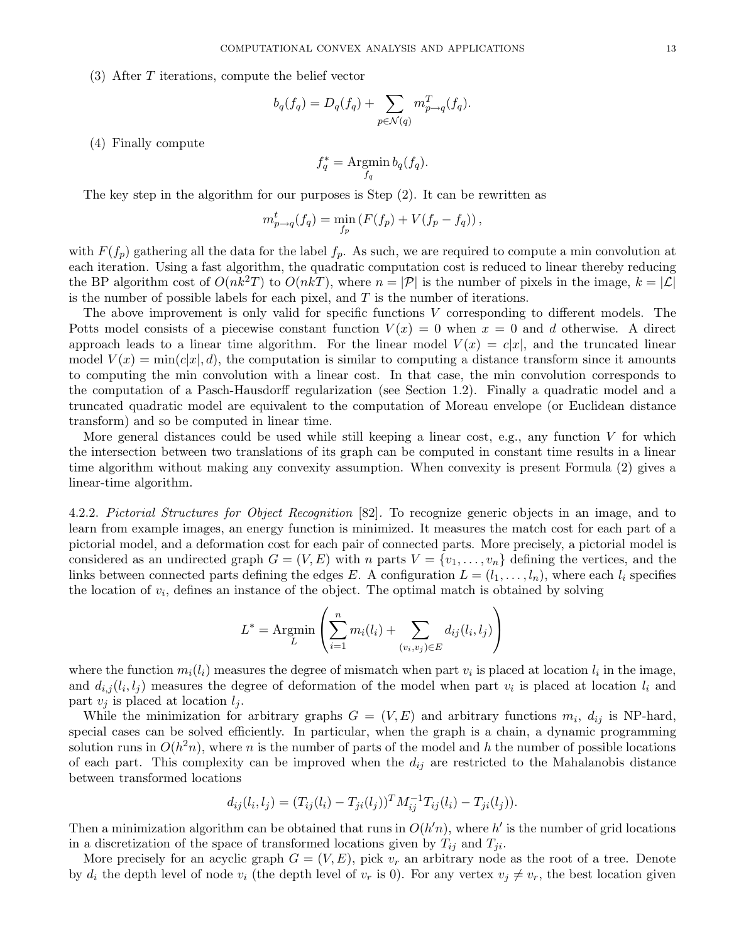(3) After T iterations, compute the belief vector

$$
b_q(f_q) = D_q(f_q) + \sum_{p \in \mathcal{N}(q)} m_{p \to q}^T(f_q).
$$

(4) Finally compute

$$
f_q^* = \operatorname*{Argmin}_{f_q} b_q(f_q).
$$

The key step in the algorithm for our purposes is Step (2). It can be rewritten as

$$
m_{p \to q}^t(f_q) = \min_{f_p} \left( F(f_p) + V(f_p - f_q) \right),
$$

with  $F(f_p)$  gathering all the data for the label  $f_p$ . As such, we are required to compute a min convolution at each iteration. Using a fast algorithm, the quadratic computation cost is reduced to linear thereby reducing the BP algorithm cost of  $O(nk^2T)$  to  $O(nkT)$ , where  $n = |\mathcal{P}|$  is the number of pixels in the image,  $k = |\mathcal{L}|$ is the number of possible labels for each pixel, and  $T$  is the number of iterations.

The above improvement is only valid for specific functions  $V$  corresponding to different models. The Potts model consists of a piecewise constant function  $V(x) = 0$  when  $x = 0$  and d otherwise. A direct approach leads to a linear time algorithm. For the linear model  $V(x) = c|x|$ , and the truncated linear model  $V(x) = min(c|x|, d)$ , the computation is similar to computing a distance transform since it amounts to computing the min convolution with a linear cost. In that case, the min convolution corresponds to the computation of a Pasch-Hausdorff regularization (see Section 1.2). Finally a quadratic model and a truncated quadratic model are equivalent to the computation of Moreau envelope (or Euclidean distance transform) and so be computed in linear time.

More general distances could be used while still keeping a linear cost, e.g., any function  $V$  for which the intersection between two translations of its graph can be computed in constant time results in a linear time algorithm without making any convexity assumption. When convexity is present Formula (2) gives a linear-time algorithm.

4.2.2. Pictorial Structures for Object Recognition [82]. To recognize generic objects in an image, and to learn from example images, an energy function is minimized. It measures the match cost for each part of a pictorial model, and a deformation cost for each pair of connected parts. More precisely, a pictorial model is considered as an undirected graph  $G = (V, E)$  with n parts  $V = \{v_1, \ldots, v_n\}$  defining the vertices, and the links between connected parts defining the edges E. A configuration  $L = (l_1, \ldots, l_n)$ , where each  $l_i$  specifies the location of  $v_i$ , defines an instance of the object. The optimal match is obtained by solving

$$
L^* = \operatorname{Argmin}_{L} \left( \sum_{i=1}^n m_i(l_i) + \sum_{(v_i, v_j) \in E} d_{ij}(l_i, l_j) \right)
$$

where the function  $m_i(l_i)$  measures the degree of mismatch when part  $v_i$  is placed at location  $l_i$  in the image, and  $d_{i,j}(l_i, l_j)$  measures the degree of deformation of the model when part  $v_i$  is placed at location  $l_i$  and part  $v_j$  is placed at location  $l_j$ .

While the minimization for arbitrary graphs  $G = (V, E)$  and arbitrary functions  $m_i$ ,  $d_{ij}$  is NP-hard, special cases can be solved efficiently. In particular, when the graph is a chain, a dynamic programming solution runs in  $O(h^2n)$ , where n is the number of parts of the model and h the number of possible locations of each part. This complexity can be improved when the  $d_{ij}$  are restricted to the Mahalanobis distance between transformed locations

$$
d_{ij}(l_i, l_j) = (T_{ij}(l_i) - T_{ji}(l_j))^T M_{ij}^{-1} T_{ij}(l_i) - T_{ji}(l_j)).
$$

Then a minimization algorithm can be obtained that runs in  $O(h'n)$ , where h' is the number of grid locations in a discretization of the space of transformed locations given by  $T_{ij}$  and  $T_{ji}$ .

More precisely for an acyclic graph  $G = (V, E)$ , pick  $v_r$  an arbitrary node as the root of a tree. Denote by  $d_i$  the depth level of node  $v_i$  (the depth level of  $v_r$  is 0). For any vertex  $v_j \neq v_r$ , the best location given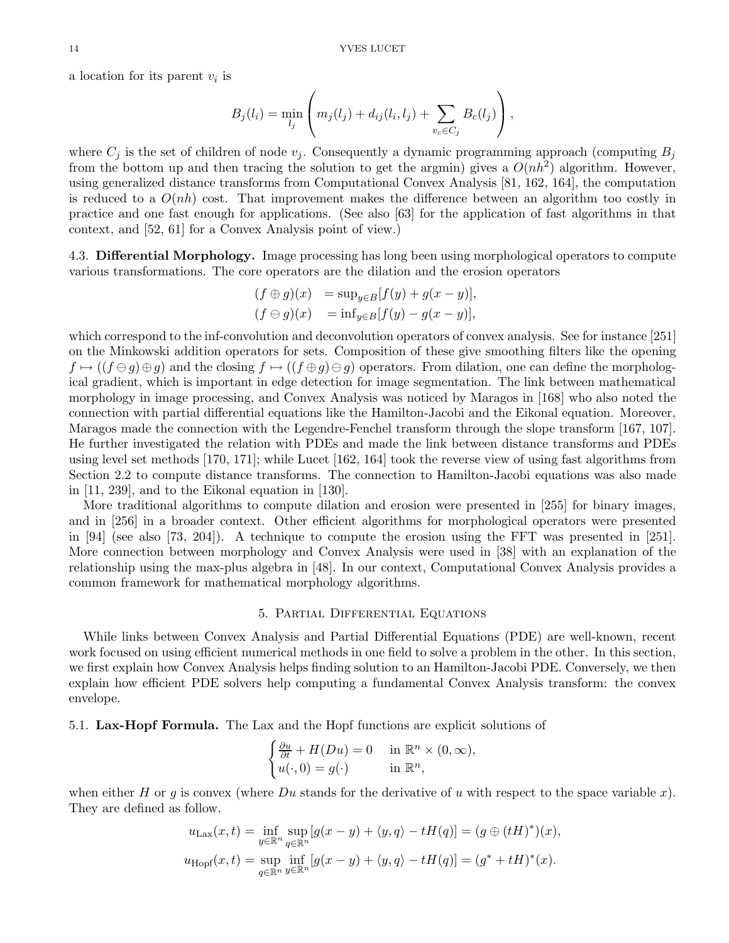a location for its parent  $v_i$  is

$$
B_j(l_i) = \min_{l_j} \left( m_j(l_j) + d_{ij}(l_i, l_j) + \sum_{v_c \in C_j} B_c(l_j) \right),
$$

where  $C_i$  is the set of children of node  $v_i$ . Consequently a dynamic programming approach (computing  $B_i$ from the bottom up and then tracing the solution to get the argmin) gives a  $O(nh^2)$  algorithm. However, using generalized distance transforms from Computational Convex Analysis [81, 162, 164], the computation is reduced to a  $O(nh)$  cost. That improvement makes the difference between an algorithm too costly in practice and one fast enough for applications. (See also [63] for the application of fast algorithms in that context, and [52, 61] for a Convex Analysis point of view.)

4.3. Differential Morphology. Image processing has long been using morphological operators to compute various transformations. The core operators are the dilation and the erosion operators

$$
(f \oplus g)(x)
$$
 = sup<sub>y\in B</sub>[ $f(y) + g(x - y)$ ],  
\n $(f \ominus g)(x)$  = inf<sub>y\in B</sub>[ $f(y) - g(x - y)$ ],

which correspond to the inf-convolution and deconvolution operators of convex analysis. See for instance [251] on the Minkowski addition operators for sets. Composition of these give smoothing filters like the opening  $f \mapsto ((f \ominus g) \oplus g)$  and the closing  $f \mapsto ((f \oplus g) \ominus g)$  operators. From dilation, one can define the morphological gradient, which is important in edge detection for image segmentation. The link between mathematical morphology in image processing, and Convex Analysis was noticed by Maragos in [168] who also noted the connection with partial differential equations like the Hamilton-Jacobi and the Eikonal equation. Moreover, Maragos made the connection with the Legendre-Fenchel transform through the slope transform [167, 107]. He further investigated the relation with PDEs and made the link between distance transforms and PDEs using level set methods [170, 171]; while Lucet [162, 164] took the reverse view of using fast algorithms from Section 2.2 to compute distance transforms. The connection to Hamilton-Jacobi equations was also made in [11, 239], and to the Eikonal equation in [130].

More traditional algorithms to compute dilation and erosion were presented in [255] for binary images, and in [256] in a broader context. Other efficient algorithms for morphological operators were presented in [94] (see also [73, 204]). A technique to compute the erosion using the FFT was presented in [251]. More connection between morphology and Convex Analysis were used in [38] with an explanation of the relationship using the max-plus algebra in [48]. In our context, Computational Convex Analysis provides a common framework for mathematical morphology algorithms.

# 5. Partial Differential Equations

While links between Convex Analysis and Partial Differential Equations (PDE) are well-known, recent work focused on using efficient numerical methods in one field to solve a problem in the other. In this section, we first explain how Convex Analysis helps finding solution to an Hamilton-Jacobi PDE. Conversely, we then explain how efficient PDE solvers help computing a fundamental Convex Analysis transform: the convex envelope.

5.1. Lax-Hopf Formula. The Lax and the Hopf functions are explicit solutions of

$$
\begin{cases} \frac{\partial u}{\partial t} + H(Du) = 0 & \text{in } \mathbb{R}^n \times (0, \infty), \\ u(\cdot, 0) = g(\cdot) & \text{in } \mathbb{R}^n, \end{cases}
$$

when either H or g is convex (where  $Du$  stands for the derivative of u with respect to the space variable x). They are defined as follow.

$$
u_{\text{Lax}}(x,t) = \inf_{y \in \mathbb{R}^n} \sup_{q \in \mathbb{R}^n} [g(x-y) + \langle y, q \rangle - tH(q)] = (g \oplus (tH)^*)(x),
$$
  

$$
u_{\text{Hopf}}(x,t) = \sup_{q \in \mathbb{R}^n} \inf_{y \in \mathbb{R}^n} [g(x-y) + \langle y, q \rangle - tH(q)] = (g^* + tH)^*(x).
$$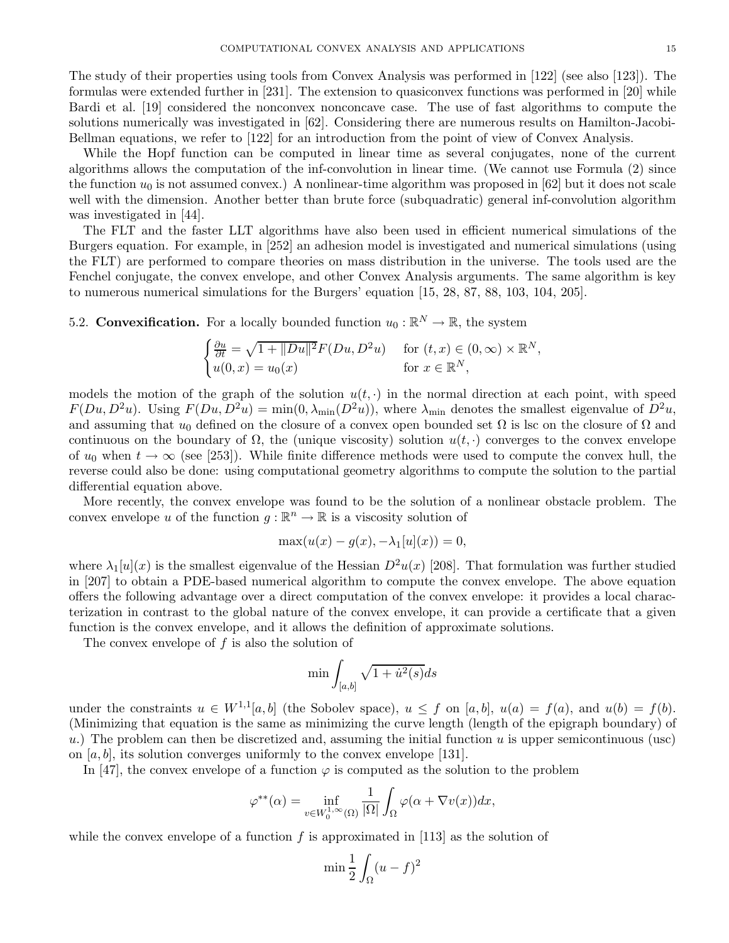The study of their properties using tools from Convex Analysis was performed in [122] (see also [123]). The formulas were extended further in [231]. The extension to quasiconvex functions was performed in [20] while Bardi et al. [19] considered the nonconvex nonconcave case. The use of fast algorithms to compute the solutions numerically was investigated in [62]. Considering there are numerous results on Hamilton-Jacobi-Bellman equations, we refer to [122] for an introduction from the point of view of Convex Analysis.

While the Hopf function can be computed in linear time as several conjugates, none of the current algorithms allows the computation of the inf-convolution in linear time. (We cannot use Formula (2) since the function  $u_0$  is not assumed convex.) A nonlinear-time algorithm was proposed in [62] but it does not scale well with the dimension. Another better than brute force (subquadratic) general inf-convolution algorithm was investigated in [44].

The FLT and the faster LLT algorithms have also been used in efficient numerical simulations of the Burgers equation. For example, in [252] an adhesion model is investigated and numerical simulations (using the FLT) are performed to compare theories on mass distribution in the universe. The tools used are the Fenchel conjugate, the convex envelope, and other Convex Analysis arguments. The same algorithm is key to numerous numerical simulations for the Burgers' equation [15, 28, 87, 88, 103, 104, 205].

5.2. Convexification. For a locally bounded function  $u_0 : \mathbb{R}^N \to \mathbb{R}$ , the system

$$
\begin{cases} \frac{\partial u}{\partial t} = \sqrt{1 + ||Du||^2} F(Du, D^2 u) & \text{for } (t, x) \in (0, \infty) \times \mathbb{R}^N, \\ u(0, x) = u_0(x) & \text{for } x \in \mathbb{R}^N, \end{cases}
$$

models the motion of the graph of the solution  $u(t, \cdot)$  in the normal direction at each point, with speed  $F(Du, D^2u)$ . Using  $F(Du, D^2u) = min(0, \lambda_{min}(D^2u))$ , where  $\lambda_{min}$  denotes the smallest eigenvalue of  $D^2u$ , and assuming that  $u_0$  defined on the closure of a convex open bounded set  $\Omega$  is lsc on the closure of  $\Omega$  and continuous on the boundary of  $\Omega$ , the (unique viscosity) solution  $u(t, \cdot)$  converges to the convex envelope of  $u_0$  when  $t \to \infty$  (see [253]). While finite difference methods were used to compute the convex hull, the reverse could also be done: using computational geometry algorithms to compute the solution to the partial differential equation above.

More recently, the convex envelope was found to be the solution of a nonlinear obstacle problem. The convex envelope u of the function  $g: \mathbb{R}^n \to \mathbb{R}$  is a viscosity solution of

$$
\max(u(x) - g(x), -\lambda_1[u](x)) = 0,
$$

where  $\lambda_1[u](x)$  is the smallest eigenvalue of the Hessian  $D^2u(x)$  [208]. That formulation was further studied in [207] to obtain a PDE-based numerical algorithm to compute the convex envelope. The above equation offers the following advantage over a direct computation of the convex envelope: it provides a local characterization in contrast to the global nature of the convex envelope, it can provide a certificate that a given function is the convex envelope, and it allows the definition of approximate solutions.

The convex envelope of  $f$  is also the solution of

$$
\min \int_{[a,b]} \sqrt{1 + \dot{u}^2(s)} ds
$$

under the constraints  $u \in W^{1,1}[a,b]$  (the Sobolev space),  $u \leq f$  on  $[a,b]$ ,  $u(a) = f(a)$ , and  $u(b) = f(b)$ . (Minimizing that equation is the same as minimizing the curve length (length of the epigraph boundary) of u.) The problem can then be discretized and, assuming the initial function  $u$  is upper semicontinuous (usc) on  $[a, b]$ , its solution converges uniformly to the convex envelope [131].

In [47], the convex envelope of a function  $\varphi$  is computed as the solution to the problem

$$
\varphi^{**}(\alpha) = \inf_{v \in W_0^{1,\infty}(\Omega)} \frac{1}{|\Omega|} \int_{\Omega} \varphi(\alpha + \nabla v(x)) dx,
$$

while the convex envelope of a function f is approximated in  $[113]$  as the solution of

$$
\min \frac{1}{2} \int_{\Omega} (u - f)^2
$$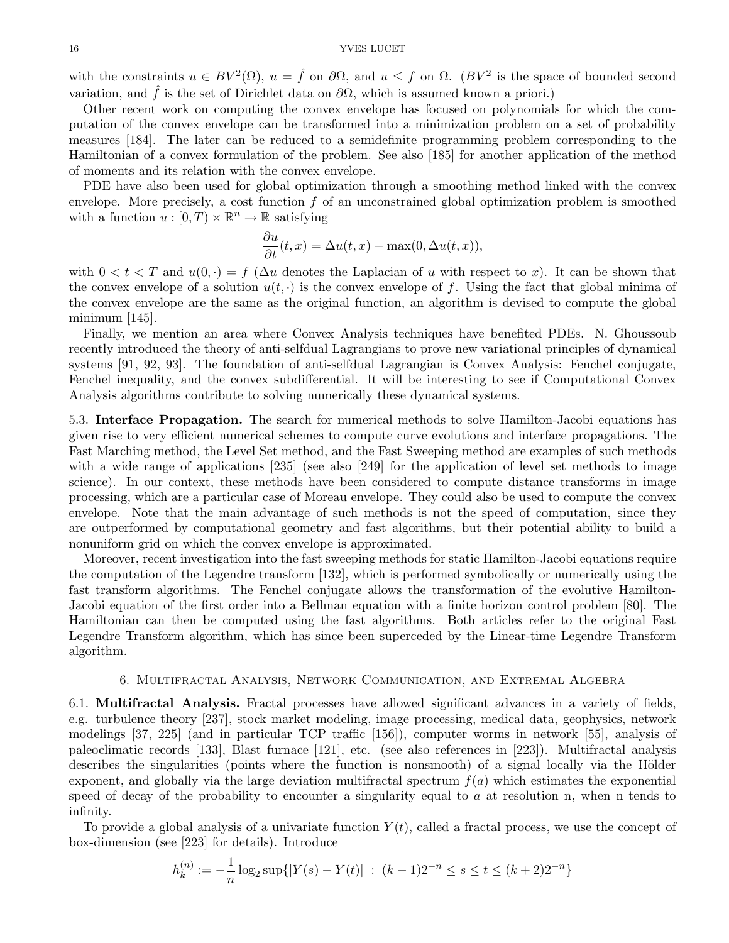with the constraints  $u \in BV^2(\Omega)$ ,  $u = \hat{f}$  on  $\partial\Omega$ , and  $u \leq f$  on  $\Omega$ . ( $BV^2$  is the space of bounded second variation, and  $\hat{f}$  is the set of Dirichlet data on  $\partial\Omega$ , which is assumed known a priori.)

Other recent work on computing the convex envelope has focused on polynomials for which the computation of the convex envelope can be transformed into a minimization problem on a set of probability measures [184]. The later can be reduced to a semidefinite programming problem corresponding to the Hamiltonian of a convex formulation of the problem. See also [185] for another application of the method of moments and its relation with the convex envelope.

PDE have also been used for global optimization through a smoothing method linked with the convex envelope. More precisely, a cost function  $f$  of an unconstrained global optimization problem is smoothed with a function  $u : [0, T) \times \mathbb{R}^n \to \mathbb{R}$  satisfying

$$
\frac{\partial u}{\partial t}(t,x) = \Delta u(t,x) - \max(0,\Delta u(t,x)),
$$

with  $0 < t < T$  and  $u(0, \cdot) = f(\Delta u)$  denotes the Laplacian of u with respect to x). It can be shown that the convex envelope of a solution  $u(t, \cdot)$  is the convex envelope of f. Using the fact that global minima of the convex envelope are the same as the original function, an algorithm is devised to compute the global minimum [145].

Finally, we mention an area where Convex Analysis techniques have benefited PDEs. N. Ghoussoub recently introduced the theory of anti-selfdual Lagrangians to prove new variational principles of dynamical systems [91, 92, 93]. The foundation of anti-selfdual Lagrangian is Convex Analysis: Fenchel conjugate, Fenchel inequality, and the convex subdifferential. It will be interesting to see if Computational Convex Analysis algorithms contribute to solving numerically these dynamical systems.

5.3. Interface Propagation. The search for numerical methods to solve Hamilton-Jacobi equations has given rise to very efficient numerical schemes to compute curve evolutions and interface propagations. The Fast Marching method, the Level Set method, and the Fast Sweeping method are examples of such methods with a wide range of applications [235] (see also [249] for the application of level set methods to image science). In our context, these methods have been considered to compute distance transforms in image processing, which are a particular case of Moreau envelope. They could also be used to compute the convex envelope. Note that the main advantage of such methods is not the speed of computation, since they are outperformed by computational geometry and fast algorithms, but their potential ability to build a nonuniform grid on which the convex envelope is approximated.

Moreover, recent investigation into the fast sweeping methods for static Hamilton-Jacobi equations require the computation of the Legendre transform [132], which is performed symbolically or numerically using the fast transform algorithms. The Fenchel conjugate allows the transformation of the evolutive Hamilton-Jacobi equation of the first order into a Bellman equation with a finite horizon control problem [80]. The Hamiltonian can then be computed using the fast algorithms. Both articles refer to the original Fast Legendre Transform algorithm, which has since been superceded by the Linear-time Legendre Transform algorithm.

### 6. Multifractal Analysis, Network Communication, and Extremal Algebra

6.1. Multifractal Analysis. Fractal processes have allowed significant advances in a variety of fields, e.g. turbulence theory [237], stock market modeling, image processing, medical data, geophysics, network modelings [37, 225] (and in particular TCP traffic [156]), computer worms in network [55], analysis of paleoclimatic records [133], Blast furnace [121], etc. (see also references in [223]). Multifractal analysis describes the singularities (points where the function is nonsmooth) of a signal locally via the Hölder exponent, and globally via the large deviation multifractal spectrum  $f(a)$  which estimates the exponential speed of decay of the probability to encounter a singularity equal to a at resolution n, when n tends to infinity.

To provide a global analysis of a univariate function  $Y(t)$ , called a fractal process, we use the concept of box-dimension (see [223] for details). Introduce

$$
h_k^{(n)} := -\frac{1}{n} \log_2 \sup \{ |Y(s) - Y(t)| \; : \; (k-1)2^{-n} \le s \le t \le (k+2)2^{-n} \}
$$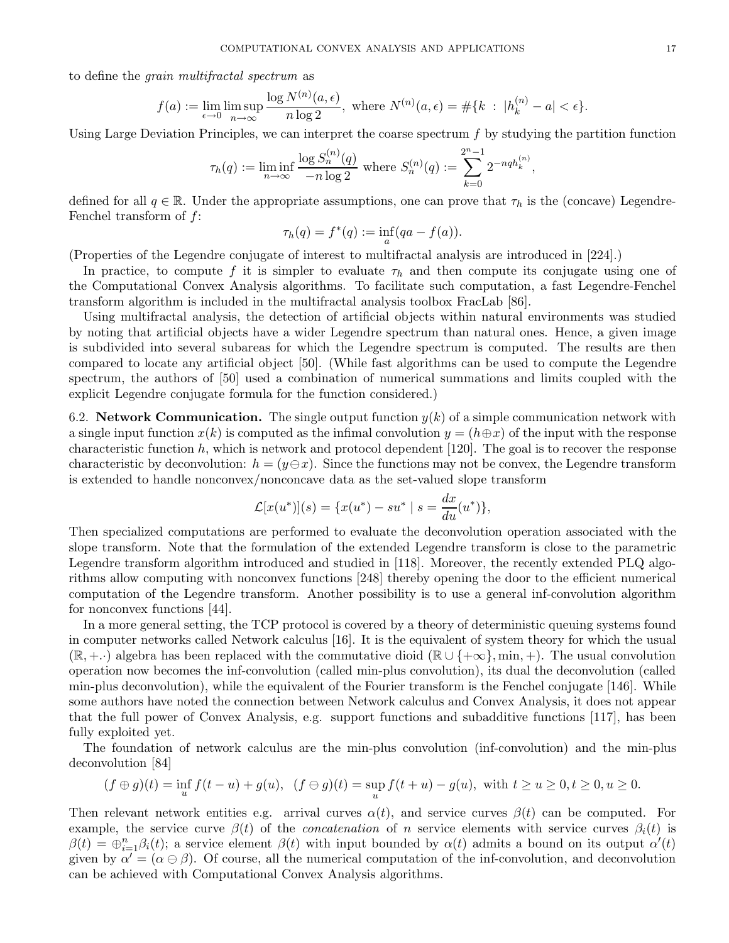to define the grain multifractal spectrum as

$$
f(a) := \lim_{\epsilon \to 0} \limsup_{n \to \infty} \frac{\log N^{(n)}(a, \epsilon)}{n \log 2}, \text{ where } N^{(n)}(a, \epsilon) = \# \{k \; : \; |h_k^{(n)} - a| < \epsilon\}.
$$

Using Large Deviation Principles, we can interpret the coarse spectrum f by studying the partition function

$$
\tau_h(q) := \liminf_{n \to \infty} \frac{\log S_n^{(n)}(q)}{-n \log 2} \text{ where } S_n^{(n)}(q) := \sum_{k=0}^{2^n - 1} 2^{-nq h_k^{(n)}},
$$

defined for all  $q \in \mathbb{R}$ . Under the appropriate assumptions, one can prove that  $\tau_h$  is the (concave) Legendre-Fenchel transform of  $f$ :

$$
\tau_h(q) = f^*(q) := \inf_a (qa - f(a)).
$$

(Properties of the Legendre conjugate of interest to multifractal analysis are introduced in [224].)

In practice, to compute f it is simpler to evaluate  $\tau_h$  and then compute its conjugate using one of the Computational Convex Analysis algorithms. To facilitate such computation, a fast Legendre-Fenchel transform algorithm is included in the multifractal analysis toolbox FracLab [86].

Using multifractal analysis, the detection of artificial objects within natural environments was studied by noting that artificial objects have a wider Legendre spectrum than natural ones. Hence, a given image is subdivided into several subareas for which the Legendre spectrum is computed. The results are then compared to locate any artificial object [50]. (While fast algorithms can be used to compute the Legendre spectrum, the authors of [50] used a combination of numerical summations and limits coupled with the explicit Legendre conjugate formula for the function considered.)

6.2. Network Communication. The single output function  $y(k)$  of a simple communication network with a single input function  $x(k)$  is computed as the infimal convolution  $y = (h \oplus x)$  of the input with the response characteristic function h, which is network and protocol dependent  $[120]$ . The goal is to recover the response characteristic by deconvolution:  $h = (y \ominus x)$ . Since the functions may not be convex, the Legendre transform is extended to handle nonconvex/nonconcave data as the set-valued slope transform

$$
\mathcal{L}[x(u^*)](s) = \{x(u^*) - su^* \mid s = \frac{dx}{du}(u^*)\},\
$$

Then specialized computations are performed to evaluate the deconvolution operation associated with the slope transform. Note that the formulation of the extended Legendre transform is close to the parametric Legendre transform algorithm introduced and studied in [118]. Moreover, the recently extended PLQ algorithms allow computing with nonconvex functions [248] thereby opening the door to the efficient numerical computation of the Legendre transform. Another possibility is to use a general inf-convolution algorithm for nonconvex functions [44].

In a more general setting, the TCP protocol is covered by a theory of deterministic queuing systems found in computer networks called Network calculus [16]. It is the equivalent of system theory for which the usual  $(\mathbb{R}, +, \cdot)$  algebra has been replaced with the commutative dioid  $(\mathbb{R} \cup \{+\infty\}, \min, +)$ . The usual convolution operation now becomes the inf-convolution (called min-plus convolution), its dual the deconvolution (called min-plus deconvolution), while the equivalent of the Fourier transform is the Fenchel conjugate [146]. While some authors have noted the connection between Network calculus and Convex Analysis, it does not appear that the full power of Convex Analysis, e.g. support functions and subadditive functions [117], has been fully exploited yet.

The foundation of network calculus are the min-plus convolution (inf-convolution) and the min-plus deconvolution [84]

$$
(f \oplus g)(t) = \inf_{u} f(t - u) + g(u), \ \ (f \ominus g)(t) = \sup_{u} f(t + u) - g(u), \text{ with } t \ge u \ge 0, u \ge 0.
$$

Then relevant network entities e.g. arrival curves  $\alpha(t)$ , and service curves  $\beta(t)$  can be computed. For example, the service curve  $\beta(t)$  of the *concatenation* of n service elements with service curves  $\beta_i(t)$  is  $\beta(t) = \bigoplus_{i=1}^n \beta_i(t)$ ; a service element  $\beta(t)$  with input bounded by  $\alpha(t)$  admits a bound on its output  $\alpha'(t)$ given by  $\alpha' = (\alpha \ominus \beta)$ . Of course, all the numerical computation of the inf-convolution, and deconvolution can be achieved with Computational Convex Analysis algorithms.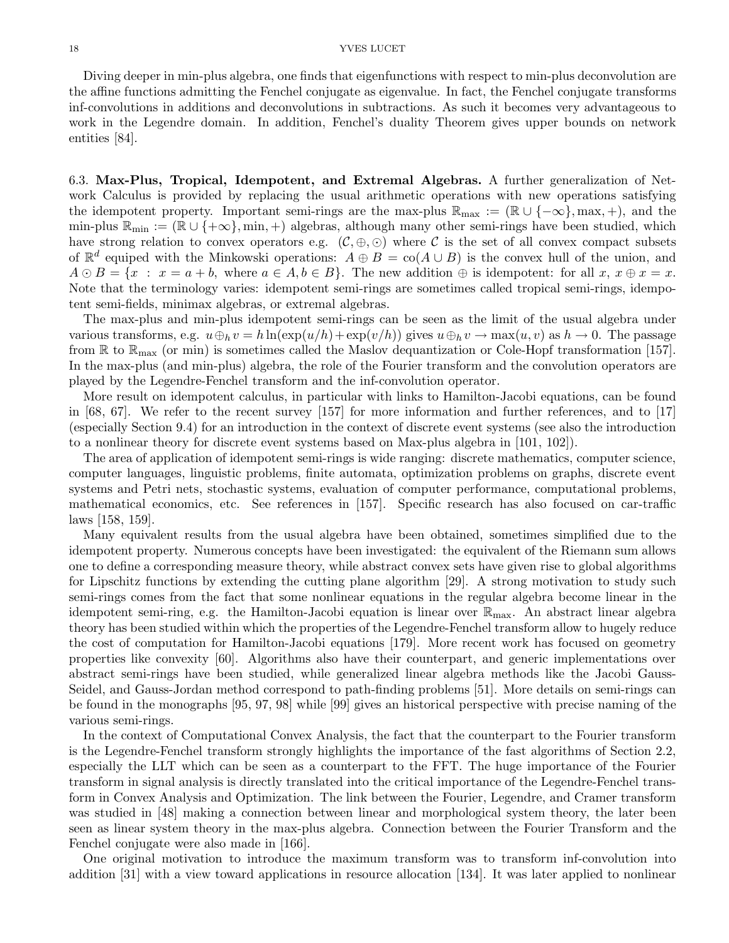Diving deeper in min-plus algebra, one finds that eigenfunctions with respect to min-plus deconvolution are the affine functions admitting the Fenchel conjugate as eigenvalue. In fact, the Fenchel conjugate transforms inf-convolutions in additions and deconvolutions in subtractions. As such it becomes very advantageous to work in the Legendre domain. In addition, Fenchel's duality Theorem gives upper bounds on network entities [84].

6.3. Max-Plus, Tropical, Idempotent, and Extremal Algebras. A further generalization of Network Calculus is provided by replacing the usual arithmetic operations with new operations satisfying the idempotent property. Important semi-rings are the max-plus  $\mathbb{R}_{\text{max}} := (\mathbb{R} \cup \{-\infty\}, \text{max}, +)$ , and the min-plus  $\mathbb{R}_{\text{min}} := (\mathbb{R} \cup \{+\infty\}, \min, +)$  algebras, although many other semi-rings have been studied, which have strong relation to convex operators e.g.  $(C, \oplus, \odot)$  where C is the set of all convex compact subsets of  $\mathbb{R}^d$  equiped with the Minkowski operations:  $A \oplus B = \text{co}(A \cup B)$  is the convex hull of the union, and  $A \odot B = \{x : x = a + b, \text{ where } a \in A, b \in B\}.$  The new addition  $\oplus$  is idempotent: for all  $x, x \oplus x = x$ . Note that the terminology varies: idempotent semi-rings are sometimes called tropical semi-rings, idempotent semi-fields, minimax algebras, or extremal algebras.

The max-plus and min-plus idempotent semi-rings can be seen as the limit of the usual algebra under various transforms, e.g.  $u \oplus_h v = h \ln(\exp(u/h) + \exp(v/h))$  gives  $u \oplus_h v \to \max(u, v)$  as  $h \to 0$ . The passage from  $\mathbb R$  to  $\mathbb{R}_{\text{max}}$  (or min) is sometimes called the Maslov dequantization or Cole-Hopf transformation [157]. In the max-plus (and min-plus) algebra, the role of the Fourier transform and the convolution operators are played by the Legendre-Fenchel transform and the inf-convolution operator.

More result on idempotent calculus, in particular with links to Hamilton-Jacobi equations, can be found in [68, 67]. We refer to the recent survey [157] for more information and further references, and to [17] (especially Section 9.4) for an introduction in the context of discrete event systems (see also the introduction to a nonlinear theory for discrete event systems based on Max-plus algebra in [101, 102]).

The area of application of idempotent semi-rings is wide ranging: discrete mathematics, computer science, computer languages, linguistic problems, finite automata, optimization problems on graphs, discrete event systems and Petri nets, stochastic systems, evaluation of computer performance, computational problems, mathematical economics, etc. See references in [157]. Specific research has also focused on car-traffic laws [158, 159].

Many equivalent results from the usual algebra have been obtained, sometimes simplified due to the idempotent property. Numerous concepts have been investigated: the equivalent of the Riemann sum allows one to define a corresponding measure theory, while abstract convex sets have given rise to global algorithms for Lipschitz functions by extending the cutting plane algorithm [29]. A strong motivation to study such semi-rings comes from the fact that some nonlinear equations in the regular algebra become linear in the idempotent semi-ring, e.g. the Hamilton-Jacobi equation is linear over  $\mathbb{R}_{\text{max}}$ . An abstract linear algebra theory has been studied within which the properties of the Legendre-Fenchel transform allow to hugely reduce the cost of computation for Hamilton-Jacobi equations [179]. More recent work has focused on geometry properties like convexity [60]. Algorithms also have their counterpart, and generic implementations over abstract semi-rings have been studied, while generalized linear algebra methods like the Jacobi Gauss-Seidel, and Gauss-Jordan method correspond to path-finding problems [51]. More details on semi-rings can be found in the monographs [95, 97, 98] while [99] gives an historical perspective with precise naming of the various semi-rings.

In the context of Computational Convex Analysis, the fact that the counterpart to the Fourier transform is the Legendre-Fenchel transform strongly highlights the importance of the fast algorithms of Section 2.2, especially the LLT which can be seen as a counterpart to the FFT. The huge importance of the Fourier transform in signal analysis is directly translated into the critical importance of the Legendre-Fenchel transform in Convex Analysis and Optimization. The link between the Fourier, Legendre, and Cramer transform was studied in [48] making a connection between linear and morphological system theory, the later been seen as linear system theory in the max-plus algebra. Connection between the Fourier Transform and the Fenchel conjugate were also made in [166].

One original motivation to introduce the maximum transform was to transform inf-convolution into addition [31] with a view toward applications in resource allocation [134]. It was later applied to nonlinear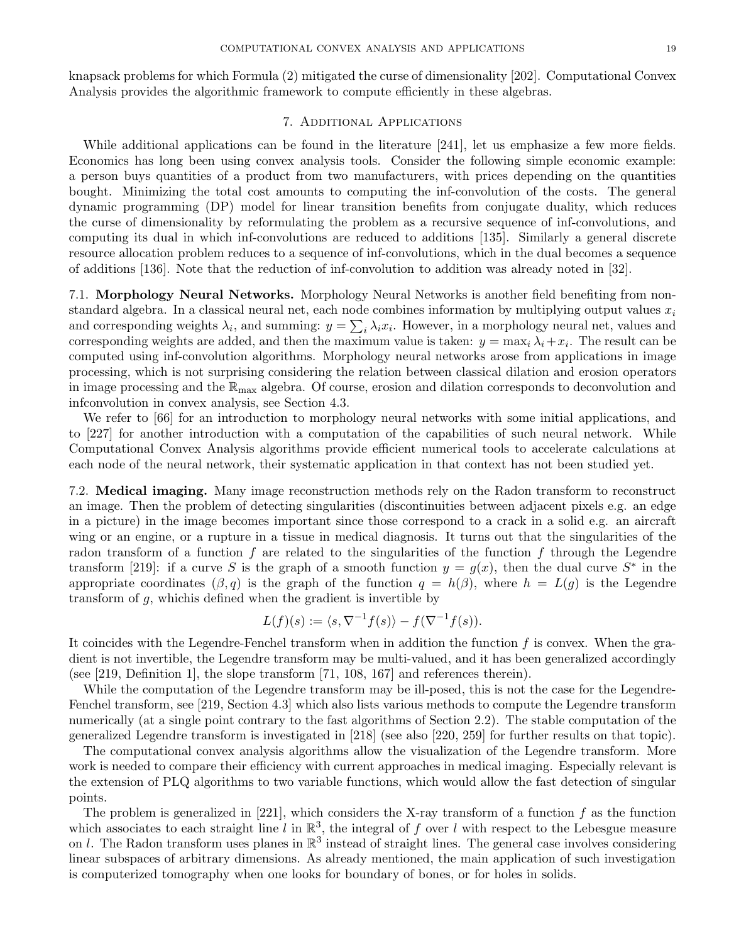knapsack problems for which Formula (2) mitigated the curse of dimensionality [202]. Computational Convex Analysis provides the algorithmic framework to compute efficiently in these algebras.

### 7. Additional Applications

While additional applications can be found in the literature [241], let us emphasize a few more fields. Economics has long been using convex analysis tools. Consider the following simple economic example: a person buys quantities of a product from two manufacturers, with prices depending on the quantities bought. Minimizing the total cost amounts to computing the inf-convolution of the costs. The general dynamic programming (DP) model for linear transition benefits from conjugate duality, which reduces the curse of dimensionality by reformulating the problem as a recursive sequence of inf-convolutions, and computing its dual in which inf-convolutions are reduced to additions [135]. Similarly a general discrete resource allocation problem reduces to a sequence of inf-convolutions, which in the dual becomes a sequence of additions [136]. Note that the reduction of inf-convolution to addition was already noted in [32].

7.1. Morphology Neural Networks. Morphology Neural Networks is another field benefiting from nonstandard algebra. In a classical neural net, each node combines information by multiplying output values  $x_i$ and corresponding weights  $\lambda_i$ , and summing:  $y = \sum_i \lambda_i x_i$ . However, in a morphology neural net, values and corresponding weights are added, and then the maximum value is taken:  $y = \max_i \lambda_i + x_i$ . The result can be computed using inf-convolution algorithms. Morphology neural networks arose from applications in image processing, which is not surprising considering the relation between classical dilation and erosion operators in image processing and the  $\mathbb{R}_{\text{max}}$  algebra. Of course, erosion and dilation corresponds to deconvolution and infconvolution in convex analysis, see Section 4.3.

We refer to [66] for an introduction to morphology neural networks with some initial applications, and to [227] for another introduction with a computation of the capabilities of such neural network. While Computational Convex Analysis algorithms provide efficient numerical tools to accelerate calculations at each node of the neural network, their systematic application in that context has not been studied yet.

7.2. Medical imaging. Many image reconstruction methods rely on the Radon transform to reconstruct an image. Then the problem of detecting singularities (discontinuities between adjacent pixels e.g. an edge in a picture) in the image becomes important since those correspond to a crack in a solid e.g. an aircraft wing or an engine, or a rupture in a tissue in medical diagnosis. It turns out that the singularities of the radon transform of a function f are related to the singularities of the function f through the Legendre transform [219]: if a curve S is the graph of a smooth function  $y = g(x)$ , then the dual curve  $S^*$  in the appropriate coordinates  $(\beta, q)$  is the graph of the function  $q = h(\beta)$ , where  $h = L(g)$  is the Legendre transform of g, whichis defined when the gradient is invertible by

$$
L(f)(s) := \langle s, \nabla^{-1} f(s) \rangle - f(\nabla^{-1} f(s)).
$$

It coincides with the Legendre-Fenchel transform when in addition the function f is convex. When the gradient is not invertible, the Legendre transform may be multi-valued, and it has been generalized accordingly (see [219, Definition 1], the slope transform [71, 108, 167] and references therein).

While the computation of the Legendre transform may be ill-posed, this is not the case for the Legendre-Fenchel transform, see [219, Section 4.3] which also lists various methods to compute the Legendre transform numerically (at a single point contrary to the fast algorithms of Section 2.2). The stable computation of the generalized Legendre transform is investigated in [218] (see also [220, 259] for further results on that topic).

The computational convex analysis algorithms allow the visualization of the Legendre transform. More work is needed to compare their efficiency with current approaches in medical imaging. Especially relevant is the extension of PLQ algorithms to two variable functions, which would allow the fast detection of singular points.

The problem is generalized in  $[221]$ , which considers the X-ray transform of a function f as the function which associates to each straight line l in  $\mathbb{R}^3$ , the integral of f over l with respect to the Lebesgue measure on l. The Radon transform uses planes in  $\mathbb{R}^3$  instead of straight lines. The general case involves considering linear subspaces of arbitrary dimensions. As already mentioned, the main application of such investigation is computerized tomography when one looks for boundary of bones, or for holes in solids.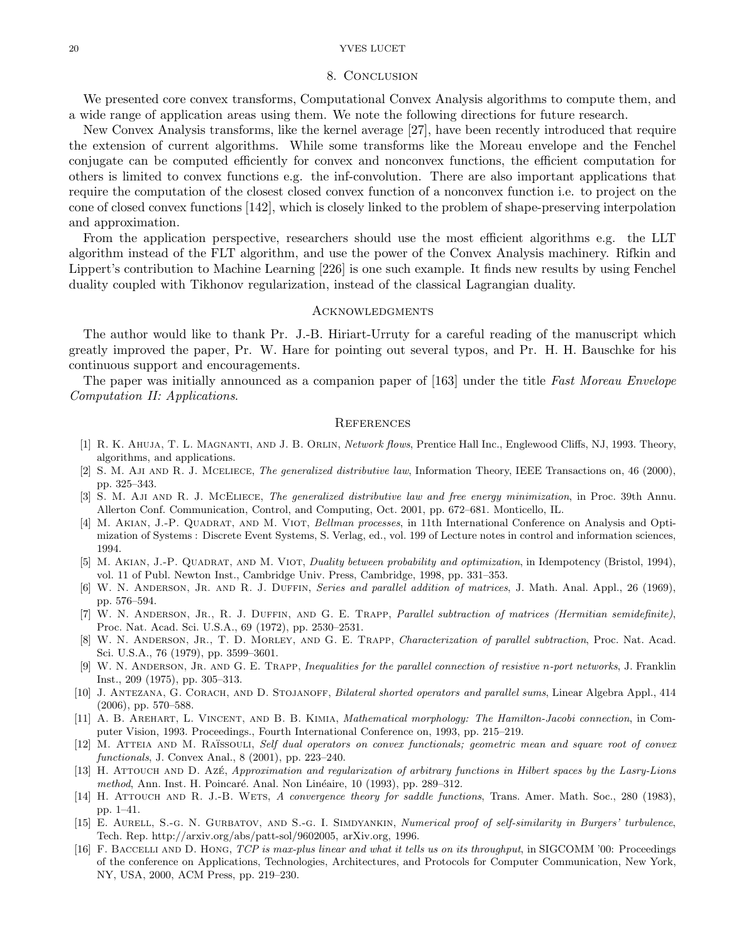### 8. Conclusion

We presented core convex transforms, Computational Convex Analysis algorithms to compute them, and a wide range of application areas using them. We note the following directions for future research.

New Convex Analysis transforms, like the kernel average [27], have been recently introduced that require the extension of current algorithms. While some transforms like the Moreau envelope and the Fenchel conjugate can be computed efficiently for convex and nonconvex functions, the efficient computation for others is limited to convex functions e.g. the inf-convolution. There are also important applications that require the computation of the closest closed convex function of a nonconvex function i.e. to project on the cone of closed convex functions [142], which is closely linked to the problem of shape-preserving interpolation and approximation.

From the application perspective, researchers should use the most efficient algorithms e.g. the LLT algorithm instead of the FLT algorithm, and use the power of the Convex Analysis machinery. Rifkin and Lippert's contribution to Machine Learning [226] is one such example. It finds new results by using Fenchel duality coupled with Tikhonov regularization, instead of the classical Lagrangian duality.

### **ACKNOWLEDGMENTS**

The author would like to thank Pr. J.-B. Hiriart-Urruty for a careful reading of the manuscript which greatly improved the paper, Pr. W. Hare for pointing out several typos, and Pr. H. H. Bauschke for his continuous support and encouragements.

The paper was initially announced as a companion paper of [163] under the title Fast Moreau Envelope Computation II: Applications.

#### **REFERENCES**

- [1] R. K. AHUJA, T. L. MAGNANTI, AND J. B. ORLIN, Network flows, Prentice Hall Inc., Englewood Cliffs, NJ, 1993. Theory, algorithms, and applications.
- [2] S. M. AJI AND R. J. MCELIECE, The generalized distributive law, Information Theory, IEEE Transactions on, 46 (2000), pp. 325–343.
- [3] S. M. AJI AND R. J. MCELIECE, The generalized distributive law and free energy minimization, in Proc. 39th Annu. Allerton Conf. Communication, Control, and Computing, Oct. 2001, pp. 672–681. Monticello, IL.
- [4] M. AKIAN, J.-P. QUADRAT, AND M. VIOT, Bellman processes, in 11th International Conference on Analysis and Optimization of Systems : Discrete Event Systems, S. Verlag, ed., vol. 199 of Lecture notes in control and information sciences, 1994.
- [5] M. AKIAN, J.-P. QUADRAT, AND M. VIOT, Duality between probability and optimization, in Idempotency (Bristol, 1994), vol. 11 of Publ. Newton Inst., Cambridge Univ. Press, Cambridge, 1998, pp. 331–353.
- [6] W. N. ANDERSON, JR. AND R. J. DUFFIN, Series and parallel addition of matrices, J. Math. Anal. Appl., 26 (1969), pp. 576–594.
- [7] W. N. ANDERSON, JR., R. J. DUFFIN, AND G. E. TRAPP, Parallel subtraction of matrices (Hermitian semidefinite), Proc. Nat. Acad. Sci. U.S.A., 69 (1972), pp. 2530–2531.
- [8] W. N. ANDERSON, JR., T. D. MORLEY, AND G. E. TRAPP, Characterization of parallel subtraction, Proc. Nat. Acad. Sci. U.S.A., 76 (1979), pp. 3599–3601.
- [9] W. N. ANDERSON, JR. AND G. E. TRAPP, Inequalities for the parallel connection of resistive n-port networks, J. Franklin Inst., 209 (1975), pp. 305–313.
- [10] J. ANTEZANA, G. CORACH, AND D. STOJANOFF, Bilateral shorted operators and parallel sums, Linear Algebra Appl., 414 (2006), pp. 570–588.
- [11] A. B. AREHART, L. VINCENT, AND B. B. KIMIA, *Mathematical morphology: The Hamilton-Jacobi connection*, in Computer Vision, 1993. Proceedings., Fourth International Conference on, 1993, pp. 215–219.
- [12] M. ATTEIA AND M. RAÏSSOULI, Self dual operators on convex functionals; geometric mean and square root of convex functionals, J. Convex Anal., 8 (2001), pp. 223–240.
- [13] H. ATTOUCH AND D. Azé, Approximation and regularization of arbitrary functions in Hilbert spaces by the Lasry-Lions method, Ann. Inst. H. Poincaré. Anal. Non Linéaire, 10 (1993), pp. 289-312.
- [14] H. ATTOUCH AND R. J.-B. WETS, A convergence theory for saddle functions, Trans. Amer. Math. Soc., 280 (1983), pp. 1–41.
- [15] E. AURELL, S.-G. N. GURBATOV, AND S.-G. I. SIMDYANKIN, Numerical proof of self-similarity in Burgers' turbulence, Tech. Rep. http://arxiv.org/abs/patt-sol/9602005, arXiv.org, 1996.
- [16] F. BACCELLI AND D. HONG, TCP is max-plus linear and what it tells us on its throughput, in SIGCOMM '00: Proceedings of the conference on Applications, Technologies, Architectures, and Protocols for Computer Communication, New York, NY, USA, 2000, ACM Press, pp. 219–230.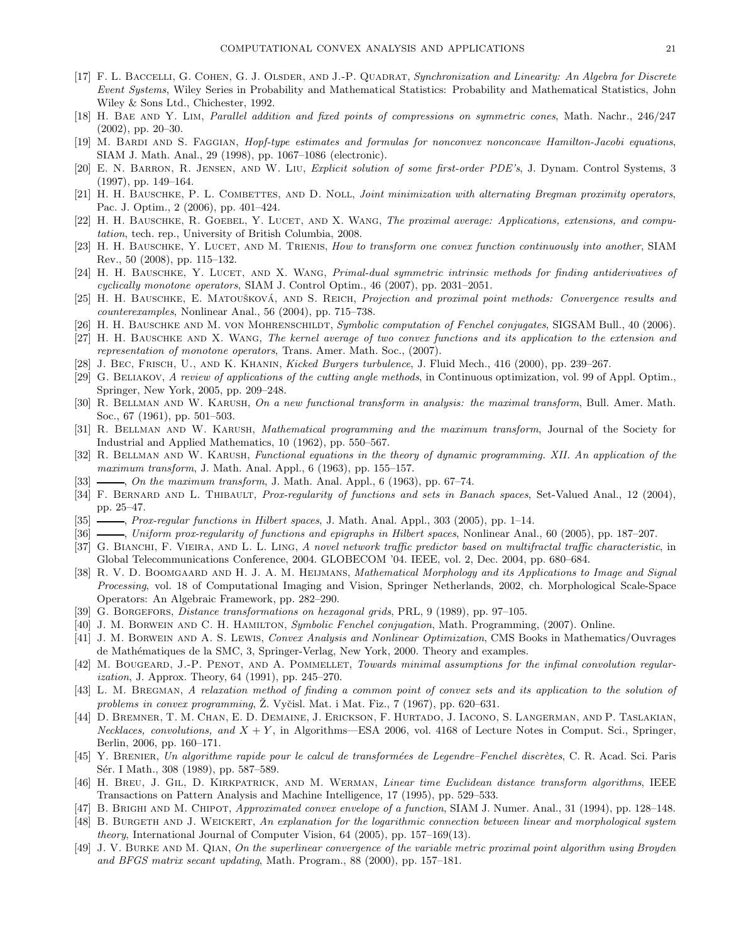- [17] F. L. BACCELLI, G. COHEN, G. J. OLSDER, AND J.-P. QUADRAT, Synchronization and Linearity: An Algebra for Discrete Event Systems, Wiley Series in Probability and Mathematical Statistics: Probability and Mathematical Statistics, John Wiley & Sons Ltd., Chichester, 1992.
- [18] H. Bae and Y. Lim, Parallel addition and fixed points of compressions on symmetric cones, Math. Nachr., 246/247 (2002), pp. 20–30.
- [19] M. BARDI AND S. FAGGIAN, *Hopf-type estimates and formulas for nonconvex nonconcave Hamilton-Jacobi equations*, SIAM J. Math. Anal., 29 (1998), pp. 1067–1086 (electronic).
- [20] E. N. Barron, R. Jensen, and W. Liu, Explicit solution of some first-order PDE's, J. Dynam. Control Systems, 3 (1997), pp. 149–164.
- [21] H. H. BAUSCHKE, P. L. COMBETTES, AND D. NOLL, Joint minimization with alternating Bregman proximity operators, Pac. J. Optim., 2 (2006), pp. 401–424.
- [22] H. H. BAUSCHKE, R. GOEBEL, Y. LUCET, AND X. WANG, The proximal average: Applications, extensions, and computation, tech. rep., University of British Columbia, 2008.
- [23] H. H. BAUSCHKE, Y. LUCET, AND M. TRIENIS, How to transform one convex function continuously into another, SIAM Rev., 50 (2008), pp. 115–132.
- [24] H. H. BAUSCHKE, Y. LUCET, AND X. WANG, Primal-dual symmetric intrinsic methods for finding antiderivatives of cyclically monotone operators, SIAM J. Control Optim., 46 (2007), pp. 2031–2051.
- [25] H. H. BAUSCHKE, E. MATOUŠKOVÁ, AND S. REICH, *Projection and proximal point methods: Convergence results and* counterexamples, Nonlinear Anal., 56 (2004), pp. 715–738.
- [26] H. H. BAUSCHKE AND M. VON MOHRENSCHILDT, Symbolic computation of Fenchel conjugates, SIGSAM Bull., 40 (2006).
- [27] H. H. Bauschke and X. Wang, The kernel average of two convex functions and its application to the extension and representation of monotone operators, Trans. Amer. Math. Soc., (2007).
- [28] J. Bec, Frisch, U., and K. Khanin, Kicked Burgers turbulence, J. Fluid Mech., 416 (2000), pp. 239–267.
- [29] G. Beliakov, A review of applications of the cutting angle methods, in Continuous optimization, vol. 99 of Appl. Optim., Springer, New York, 2005, pp. 209–248.
- [30] R. BELLMAN AND W. KARUSH, On a new functional transform in analysis: the maximal transform, Bull. Amer. Math. Soc., 67 (1961), pp. 501–503.
- [31] R. BELLMAN AND W. KARUSH, Mathematical programming and the maximum transform, Journal of the Society for Industrial and Applied Mathematics, 10 (1962), pp. 550–567.
- [32] R. Bellman and W. Karush, Functional equations in the theory of dynamic programming. XII. An application of the maximum transform, J. Math. Anal. Appl.,  $6(1963)$ , pp. 155–157.
- [33]  $\_\_\_\_\_\_\_\_\_\_\_\_\_\_\_\_\_\_\.\_$  On the maximum transform, J. Math. Anal. Appl., 6 (1963), pp. 67–74.
- [34] F. BERNARD AND L. THIBAULT, Prox-regularity of functions and sets in Banach spaces, Set-Valued Anal., 12 (2004), pp. 25–47.
- $[35]$  ——, *Prox-regular functions in Hilbert spaces*, J. Math. Anal. Appl., 303 (2005), pp. 1–14.
- [36] , Uniform prox-regularity of functions and epigraphs in Hilbert spaces, Nonlinear Anal., 60 (2005), pp. 187–207.
- [37] G. BIANCHI, F. VIEIRA, AND L. L. LING, A novel network traffic predictor based on multifractal traffic characteristic, in Global Telecommunications Conference, 2004. GLOBECOM '04. IEEE, vol. 2, Dec. 2004, pp. 680–684.
- [38] R. V. D. BOOMGAARD AND H. J. A. M. HEIJMANS, Mathematical Morphology and its Applications to Image and Signal Processing, vol. 18 of Computational Imaging and Vision, Springer Netherlands, 2002, ch. Morphological Scale-Space Operators: An Algebraic Framework, pp. 282–290.
- [39] G. Borgefors, Distance transformations on hexagonal grids, PRL, 9 (1989), pp. 97–105.
- [40] J. M. BORWEIN AND C. H. HAMILTON, Symbolic Fenchel conjugation, Math. Programming, (2007). Online.
- [41] J. M. Borwein and A. S. Lewis, Convex Analysis and Nonlinear Optimization, CMS Books in Mathematics/Ouvrages de Math´ematiques de la SMC, 3, Springer-Verlag, New York, 2000. Theory and examples.
- [42] M. BOUGEARD, J.-P. PENOT, AND A. POMMELLET, Towards minimal assumptions for the infimal convolution regularization, J. Approx. Theory, 64 (1991), pp. 245–270.
- [43] L. M. Bregman, A relaxation method of finding a common point of convex sets and its application to the solution of problems in convex programming,  $\tilde{Z}$ . Vyčisl. Mat. i Mat. Fiz., 7 (1967), pp. 620–631.
- [44] D. Bremner, T. M. Chan, E. D. Demaine, J. Erickson, F. Hurtado, J. Iacono, S. Langerman, and P. Taslakian, Necklaces, convolutions, and  $X + Y$ , in Algorithms—ESA 2006, vol. 4168 of Lecture Notes in Comput. Sci., Springer, Berlin, 2006, pp. 160–171.
- [45] Y. BRENIER, Un algorithme rapide pour le calcul de transformées de Legendre–Fenchel discrètes, C. R. Acad. Sci. Paris Sér. I Math., 308 (1989), pp. 587–589.
- [46] H. BREU, J. GIL, D. KIRKPATRICK, AND M. WERMAN, *Linear time Euclidean distance transform algorithms*, IEEE Transactions on Pattern Analysis and Machine Intelligence, 17 (1995), pp. 529–533.
- [47] B. BRIGHI AND M. CHIPOT, Approximated convex envelope of a function, SIAM J. Numer. Anal., 31 (1994), pp. 128–148.
- [48] B. BURGETH AND J. WEICKERT, An explanation for the logarithmic connection between linear and morphological system theory, International Journal of Computer Vision, 64 (2005), pp. 157–169(13).
- [49] J. V. Burke and M. Qian, On the superlinear convergence of the variable metric proximal point algorithm using Broyden and BFGS matrix secant updating, Math. Program., 88 (2000), pp. 157–181.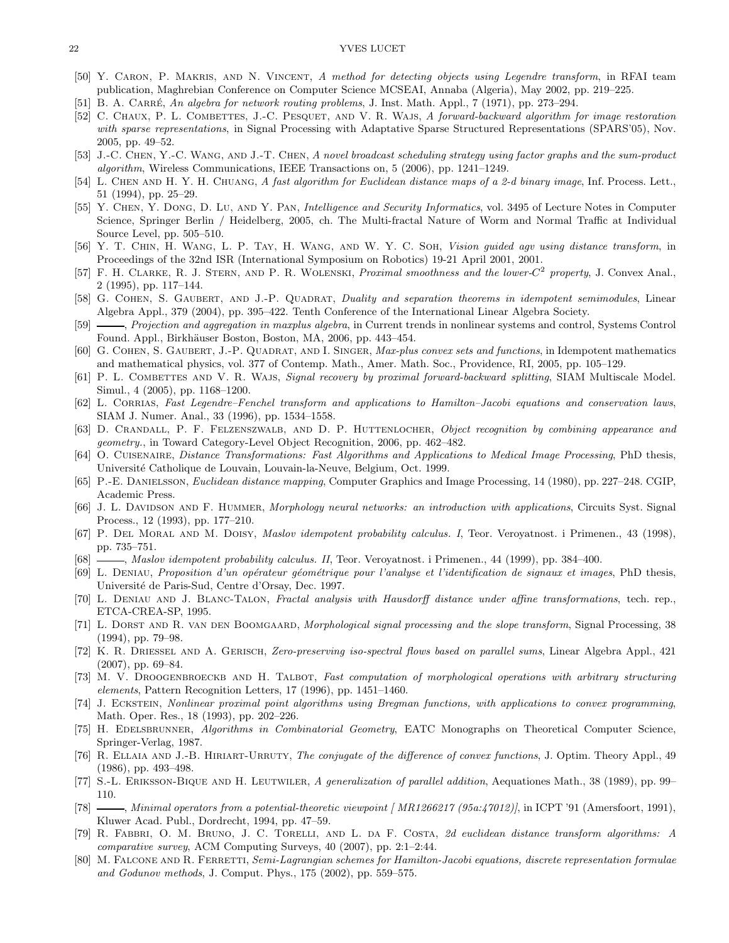- [50] Y. CARON, P. MAKRIS, AND N. VINCENT, A method for detecting objects using Legendre transform, in RFAI team publication, Maghrebian Conference on Computer Science MCSEAI, Annaba (Algeria), May 2002, pp. 219–225.
- [51] B. A. CARRÉ, An algebra for network routing problems, J. Inst. Math. Appl., 7 (1971), pp. 273–294.
- [52] C. CHAUX, P. L. COMBETTES, J.-C. PESQUET, AND V. R. WAJS, A forward-backward algorithm for image restoration with sparse representations, in Signal Processing with Adaptative Sparse Structured Representations (SPARS'05), Nov. 2005, pp. 49–52.
- [53] J.-C. CHEN, Y.-C. WANG, AND J.-T. CHEN, A novel broadcast scheduling strategy using factor graphs and the sum-product algorithm, Wireless Communications, IEEE Transactions on, 5 (2006), pp. 1241–1249.
- [54] L. CHEN AND H. Y. H. CHUANG, A fast algorithm for Euclidean distance maps of a 2-d binary image, Inf. Process. Lett., 51 (1994), pp. 25–29.
- [55] Y. CHEN, Y. DONG, D. LU, AND Y. PAN, *Intelligence and Security Informatics*, vol. 3495 of Lecture Notes in Computer Science, Springer Berlin / Heidelberg, 2005, ch. The Multi-fractal Nature of Worm and Normal Traffic at Individual Source Level, pp. 505–510.
- [56] Y. T. CHIN, H. WANG, L. P. TAY, H. WANG, AND W. Y. C. SOH, Vision guided agv using distance transform, in Proceedings of the 32nd ISR (International Symposium on Robotics) 19-21 April 2001, 2001.
- [57] F. H. CLARKE, R. J. STERN, AND P. R. WOLENSKI, *Proximal smoothness and the lower-C*<sup>2</sup> property, J. Convex Anal., 2 (1995), pp. 117–144.
- [58] G. COHEN, S. GAUBERT, AND J.-P. QUADRAT, Duality and separation theorems in idempotent semimodules, Linear Algebra Appl., 379 (2004), pp. 395–422. Tenth Conference of the International Linear Algebra Society.
- [59]  $\_\_\_\_\$ n Projection and aggregation in maxplus algebra, in Current trends in nonlinear systems and control, Systems Control Found. Appl., Birkhäuser Boston, Boston, MA, 2006, pp. 443–454.
- [60] G. COHEN, S. GAUBERT, J.-P. QUADRAT, AND I. SINGER, Max-plus convex sets and functions, in Idempotent mathematics and mathematical physics, vol. 377 of Contemp. Math., Amer. Math. Soc., Providence, RI, 2005, pp. 105–129.
- [61] P. L. COMBETTES AND V. R. WAJS, Signal recovery by proximal forward-backward splitting, SIAM Multiscale Model. Simul., 4 (2005), pp. 1168–1200.
- [62] L. Corrias, Fast Legendre–Fenchel transform and applications to Hamilton–Jacobi equations and conservation laws, SIAM J. Numer. Anal., 33 (1996), pp. 1534–1558.
- [63] D. CRANDALL, P. F. FELZENSZWALB, AND D. P. HUTTENLOCHER, Object recognition by combining appearance and geometry., in Toward Category-Level Object Recognition, 2006, pp. 462–482.
- [64] O. Cuisenaire, Distance Transformations: Fast Algorithms and Applications to Medical Image Processing, PhD thesis, Universit´e Catholique de Louvain, Louvain-la-Neuve, Belgium, Oct. 1999.
- [65] P.-E. Danielsson, Euclidean distance mapping, Computer Graphics and Image Processing, 14 (1980), pp. 227–248. CGIP, Academic Press.
- [66] J. L. DAVIDSON AND F. HUMMER, Morphology neural networks: an introduction with applications, Circuits Syst. Signal Process., 12 (1993), pp. 177–210.
- [67] P. Del Moral and M. Doisy, Maslov idempotent probability calculus. I, Teor. Veroyatnost. i Primenen., 43 (1998), pp. 735–751.
- [68] , Maslov idempotent probability calculus. II, Teor. Veroyatnost. i Primenen., 44 (1999), pp. 384–400.
- [69] L. DENIAU, Proposition d'un opérateur géométrique pour l'analyse et l'identification de signaux et images, PhD thesis, Universit´e de Paris-Sud, Centre d'Orsay, Dec. 1997.
- [70] L. Deniau and J. Blanc-Talon, Fractal analysis with Hausdorff distance under affine transformations, tech. rep., ETCA-CREA-SP, 1995.
- [71] L. DORST AND R. VAN DEN BOOMGAARD, Morphological signal processing and the slope transform, Signal Processing, 38 (1994), pp. 79–98.
- [72] K. R. Driessel and A. Gerisch, Zero-preserving iso-spectral flows based on parallel sums, Linear Algebra Appl., 421 (2007), pp. 69–84.
- [73] M. V. DROOGENBROECKB AND H. TALBOT, Fast computation of morphological operations with arbitrary structuring elements, Pattern Recognition Letters, 17 (1996), pp. 1451–1460.
- [74] J. Eckstein, Nonlinear proximal point algorithms using Bregman functions, with applications to convex programming, Math. Oper. Res., 18 (1993), pp. 202–226.
- [75] H. Edelsbrunner, Algorithms in Combinatorial Geometry, EATC Monographs on Theoretical Computer Science, Springer-Verlag, 1987.
- [76] R. ELLAIA AND J.-B. HIRIART-URRUTY, The conjugate of the difference of convex functions, J. Optim. Theory Appl., 49 (1986), pp. 493–498.
- [77] S.-L. Eriksson-Bique and H. Leutwiler, A generalization of parallel addition, Aequationes Math., 38 (1989), pp. 99– 110.
- $\sim$ , Minimal operators from a potential-theoretic viewpoint [ MR1266217 (95a:47012)], in ICPT '91 (Amersfoort, 1991), Kluwer Acad. Publ., Dordrecht, 1994, pp. 47–59.
- [79] R. Fabbri, O. M. Bruno, J. C. Torelli, and L. da F. Costa, 2d euclidean distance transform algorithms: A comparative survey, ACM Computing Surveys, 40 (2007), pp. 2:1–2:44.
- [80] M. FALCONE AND R. FERRETTI, Semi-Lagrangian schemes for Hamilton-Jacobi equations, discrete representation formulae and Godunov methods, J. Comput. Phys., 175 (2002), pp. 559–575.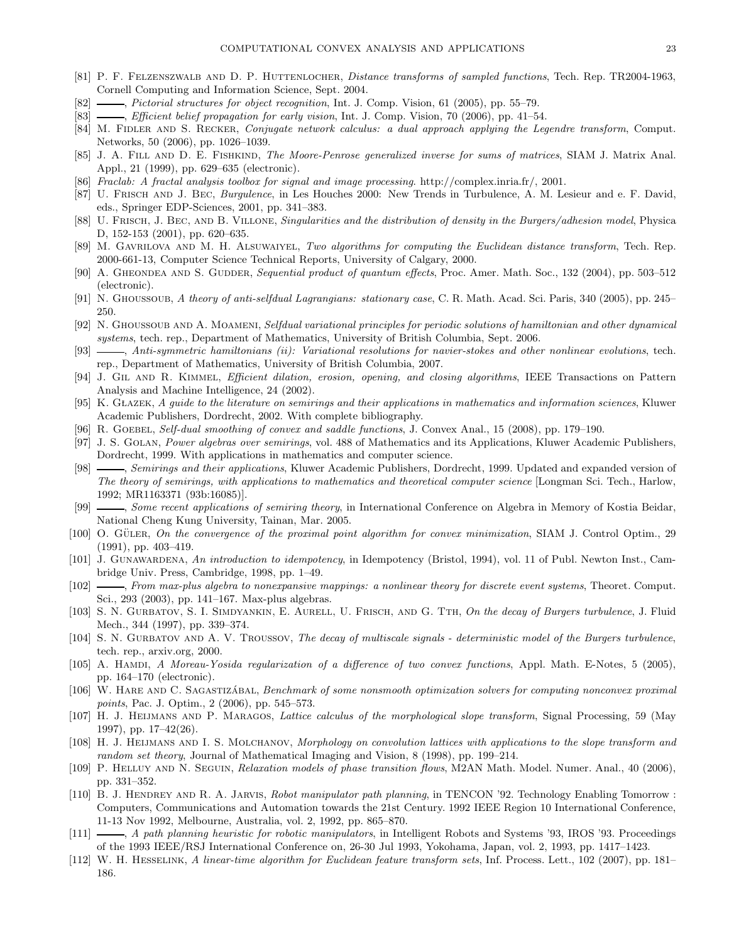- [81] P. F. FELZENSZWALB AND D. P. HUTTENLOCHER, Distance transforms of sampled functions, Tech. Rep. TR2004-1963, Cornell Computing and Information Science, Sept. 2004.
- [82] , Pictorial structures for object recognition, Int. J. Comp. Vision, 61 (2005), pp. 55–79.
- [83]  $\_\_\_\_\$  Efficient belief propagation for early vision, Int. J. Comp. Vision, 70 (2006), pp. 41–54.
- [84] M. FIDLER AND S. RECKER, Conjugate network calculus: a dual approach applying the Legendre transform, Comput. Networks, 50 (2006), pp. 1026–1039.
- [85] J. A. FILL AND D. E. FISHKIND, The Moore-Penrose generalized inverse for sums of matrices, SIAM J. Matrix Anal. Appl., 21 (1999), pp. 629–635 (electronic).
- [86] Fraclab: A fractal analysis toolbox for signal and image processing. http://complex.inria.fr/, 2001.
- [87] U. FRISCH AND J. BEC, *Burgulence*, in Les Houches 2000: New Trends in Turbulence, A. M. Lesieur and e. F. David, eds., Springer EDP-Sciences, 2001, pp. 341–383.
- [88] U. FRISCH, J. BEC, AND B. VILLONE, Singularities and the distribution of density in the Burgers/adhesion model, Physica D, 152-153 (2001), pp. 620–635.
- [89] M. GAVRILOVA AND M. H. ALSUWAIYEL, Two algorithms for computing the Euclidean distance transform, Tech. Rep. 2000-661-13, Computer Science Technical Reports, University of Calgary, 2000.
- [90] A. GHEONDEA AND S. GUDDER, Sequential product of quantum effects, Proc. Amer. Math. Soc., 132 (2004), pp. 503–512 (electronic).
- [91] N. Ghoussoub, A theory of anti-selfdual Lagrangians: stationary case, C. R. Math. Acad. Sci. Paris, 340 (2005), pp. 245– 250.
- [92] N. GHOUSSOUB AND A. MOAMENI, Selfdual variational principles for periodic solutions of hamiltonian and other dynamical systems, tech. rep., Department of Mathematics, University of British Columbia, Sept. 2006.
- [93]  $\_\_\_\_\$ nti-symmetric hamiltonians (ii): Variational resolutions for navier-stokes and other nonlinear evolutions, tech. rep., Department of Mathematics, University of British Columbia, 2007.
- [94] J. Gil and R. Kimmel, Efficient dilation, erosion, opening, and closing algorithms, IEEE Transactions on Pattern Analysis and Machine Intelligence, 24 (2002).
- [95] K. GLAZEK, A guide to the literature on semirings and their applications in mathematics and information sciences, Kluwer Academic Publishers, Dordrecht, 2002. With complete bibliography.
- [96] R. GOEBEL, Self-dual smoothing of convex and saddle functions, J. Convex Anal., 15 (2008), pp. 179–190.
- [97] J. S. Golan, Power algebras over semirings, vol. 488 of Mathematics and its Applications, Kluwer Academic Publishers, Dordrecht, 1999. With applications in mathematics and computer science.
- [98] , Semirings and their applications, Kluwer Academic Publishers, Dordrecht, 1999. Updated and expanded version of The theory of semirings, with applications to mathematics and theoretical computer science [Longman Sci. Tech., Harlow, 1992; MR1163371 (93b:16085)].
- [99] , Some recent applications of semiring theory, in International Conference on Algebra in Memory of Kostia Beidar, National Cheng Kung University, Tainan, Mar. 2005.
- [100] O. Güler, On the convergence of the proximal point algorithm for convex minimization, SIAM J. Control Optim., 29 (1991), pp. 403–419.
- [101] J. GUNAWARDENA, An introduction to idempotency, in Idempotency (Bristol, 1994), vol. 11 of Publ. Newton Inst., Cambridge Univ. Press, Cambridge, 1998, pp. 1–49.
- [102]  $\_\_\_\_\_\_\_\$  From max-plus algebra to nonexpansive mappings: a nonlinear theory for discrete event systems, Theoret. Comput. Sci., 293 (2003), pp. 141–167. Max-plus algebras.
- [103] S. N. GURBATOV, S. I. SIMDYANKIN, E. AURELL, U. FRISCH, AND G. TTH, On the decay of Burgers turbulence, J. Fluid Mech., 344 (1997), pp. 339–374.
- [104] S. N. GURBATOV AND A. V. TROUSSOV, The decay of multiscale signals deterministic model of the Burgers turbulence, tech. rep., arxiv.org, 2000.
- [105] A. Hamdi, A Moreau-Yosida regularization of a difference of two convex functions, Appl. Math. E-Notes, 5 (2005), pp. 164–170 (electronic).
- [106] W. HARE AND C. SAGASTIZÁBAL, *Benchmark of some nonsmooth optimization solvers for computing nonconvex proximal* points, Pac. J. Optim., 2 (2006), pp. 545–573.
- [107] H. J. Heijmans and P. Maragos, Lattice calculus of the morphological slope transform, Signal Processing, 59 (May 1997), pp. 17–42(26).
- [108] H. J. Heijmans and I. S. Molchanov, Morphology on convolution lattices with applications to the slope transform and random set theory, Journal of Mathematical Imaging and Vision, 8 (1998), pp. 199–214.
- [109] P. Helluy and N. Seguin, Relaxation models of phase transition flows, M2AN Math. Model. Numer. Anal., 40 (2006), pp. 331–352.
- [110] B. J. HENDREY AND R. A. JARVIS, Robot manipulator path planning, in TENCON '92. Technology Enabling Tomorrow : Computers, Communications and Automation towards the 21st Century. 1992 IEEE Region 10 International Conference, 11-13 Nov 1992, Melbourne, Australia, vol. 2, 1992, pp. 865–870.
- [111] —, A path planning heuristic for robotic manipulators, in Intelligent Robots and Systems '93, IROS '93. Proceedings of the 1993 IEEE/RSJ International Conference on, 26-30 Jul 1993, Yokohama, Japan, vol. 2, 1993, pp. 1417–1423.
- [112] W. H. Hesselink, A linear-time algorithm for Euclidean feature transform sets, Inf. Process. Lett., 102 (2007), pp. 181– 186.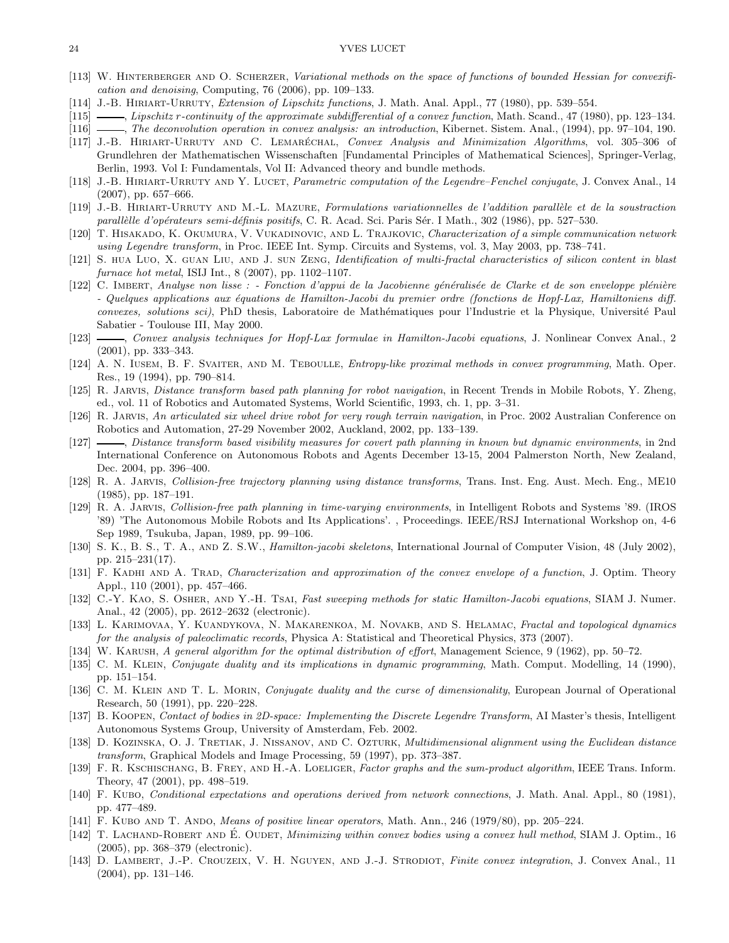- [113] W. HINTERBERGER AND O. SCHERZER, Variational methods on the space of functions of bounded Hessian for convexification and denoising, Computing, 76 (2006), pp. 109–133.
- [114] J.-B. Hiriart-Urruty, Extension of Lipschitz functions, J. Math. Anal. Appl., 77 (1980), pp. 539–554.
- [115]  $\_\_\_\_\_$ Iipschitz r-continuity of the approximate subdifferential of a convex function, Math. Scand., 47 (1980), pp. 123–134.
- [116] , The deconvolution operation in convex analysis: an introduction, Kibernet. Sistem. Anal., (1994), pp. 97–104, 190.
- [117] J.-B. HIRIART-URRUTY AND C. LEMARÉCHAL, Convex Analysis and Minimization Algorithms, vol. 305–306 of Grundlehren der Mathematischen Wissenschaften [Fundamental Principles of Mathematical Sciences], Springer-Verlag, Berlin, 1993. Vol I: Fundamentals, Vol II: Advanced theory and bundle methods.
- [118] J.-B. HIRIART-URRUTY AND Y. LUCET, Parametric computation of the Legendre–Fenchel conjugate, J. Convex Anal., 14 (2007), pp. 657–666.
- [119] J.-B. Hiriart-Urruty and M.-L. Mazure, Formulations variationnelles de l'addition parall`ele et de la soustraction parallèlle d'opérateurs semi-définis positifs, C. R. Acad. Sci. Paris Sér. I Math., 302 (1986), pp. 527–530.
- [120] T. HISAKADO, K. OKUMURA, V. VUKADINOVIC, AND L. TRAJKOVIC, Characterization of a simple communication network using Legendre transform, in Proc. IEEE Int. Symp. Circuits and Systems, vol. 3, May 2003, pp. 738–741.
- [121] S. hua Luo, X. guan Liu, and J. sun Zeng, Identification of multi-fractal characteristics of silicon content in blast furnace hot metal, ISIJ Int., 8 (2007), pp. 1102–1107.
- [122] C. IMBERT, Analyse non lisse : Fonction d'appui de la Jacobienne généralisée de Clarke et de son enveloppe plénière - Quelques applications aux équations de Hamilton-Jacobi du premier ordre (fonctions de Hopf-Lax, Hamiltoniens diff. convexes, solutions sci), PhD thesis, Laboratoire de Mathématiques pour l'Industrie et la Physique, Université Paul Sabatier - Toulouse III, May 2000.
- [123] —, Convex analysis techniques for Hopf-Lax formulae in Hamilton-Jacobi equations, J. Nonlinear Convex Anal., 2 (2001), pp. 333–343.
- [124] A. N. Iusem, B. F. Svaiter, and M. Teboulle, Entropy-like proximal methods in convex programming, Math. Oper. Res., 19 (1994), pp. 790–814.
- [125] R. Jarvis, Distance transform based path planning for robot navigation, in Recent Trends in Mobile Robots, Y. Zheng, ed., vol. 11 of Robotics and Automated Systems, World Scientific, 1993, ch. 1, pp. 3–31.
- [126] R. Jarvis, An articulated six wheel drive robot for very rough terrain navigation, in Proc. 2002 Australian Conference on Robotics and Automation, 27-29 November 2002, Auckland, 2002, pp. 133–139.
- [127]  $\_\_\_\_\_\_\_\$ n Distance transform based visibility measures for covert path planning in known but dynamic environments, in 2nd International Conference on Autonomous Robots and Agents December 13-15, 2004 Palmerston North, New Zealand, Dec. 2004, pp. 396–400.
- [128] R. A. Jarvis, Collision-free trajectory planning using distance transforms, Trans. Inst. Eng. Aust. Mech. Eng., ME10 (1985), pp. 187–191.
- [129] R. A. Jarvis, Collision-free path planning in time-varying environments, in Intelligent Robots and Systems '89. (IROS '89) 'The Autonomous Mobile Robots and Its Applications'. , Proceedings. IEEE/RSJ International Workshop on, 4-6 Sep 1989, Tsukuba, Japan, 1989, pp. 99–106.
- [130] S. K., B. S., T. A., and Z. S.W., Hamilton-jacobi skeletons, International Journal of Computer Vision, 48 (July 2002), pp. 215–231(17).
- [131] F. KADHI AND A. TRAD, Characterization and approximation of the convex envelope of a function, J. Optim. Theory Appl., 110 (2001), pp. 457–466.
- [132] C.-Y. Kao, S. Osher, and Y.-H. Tsai, Fast sweeping methods for static Hamilton-Jacobi equations, SIAM J. Numer. Anal., 42 (2005), pp. 2612–2632 (electronic).
- [133] L. KARIMOVAA, Y. KUANDYKOVA, N. MAKARENKOA, M. NOVAKB, AND S. HELAMAC, Fractal and topological dynamics for the analysis of paleoclimatic records, Physica A: Statistical and Theoretical Physics, 373 (2007).
- [134] W. Karush, A general algorithm for the optimal distribution of effort, Management Science, 9 (1962), pp. 50–72.
- [135] C. M. Klein, Conjugate duality and its implications in dynamic programming, Math. Comput. Modelling, 14 (1990), pp. 151–154.
- [136] C. M. KLEIN AND T. L. MORIN, *Conjugate duality and the curse of dimensionality*, European Journal of Operational Research, 50 (1991), pp. 220–228.
- [137] B. Koopen, Contact of bodies in 2D-space: Implementing the Discrete Legendre Transform, AI Master's thesis, Intelligent Autonomous Systems Group, University of Amsterdam, Feb. 2002.
- [138] D. KOZINSKA, O. J. TRETIAK, J. NISSANOV, AND C. OZTURK, *Multidimensional alignment using the Euclidean distance* transform, Graphical Models and Image Processing, 59 (1997), pp. 373–387.
- [139] F. R. Kschischang, B. Frey, and H.-A. Loeliger, Factor graphs and the sum-product algorithm, IEEE Trans. Inform. Theory, 47 (2001), pp. 498–519.
- [140] F. Kubo, Conditional expectations and operations derived from network connections, J. Math. Anal. Appl., 80 (1981), pp. 477–489.
- [141] F. Kubo and T. Ando, Means of positive linear operators, Math. Ann., 246 (1979/80), pp. 205–224.
- [142] T. LACHAND-ROBERT AND E. OUDET, Minimizing within convex bodies using a convex hull method, SIAM J. Optim., 16 (2005), pp. 368–379 (electronic).
- [143] D. LAMBERT, J.-P. CROUZEIX, V. H. NGUYEN, AND J.-J. STRODIOT, Finite convex integration, J. Convex Anal., 11 (2004), pp. 131–146.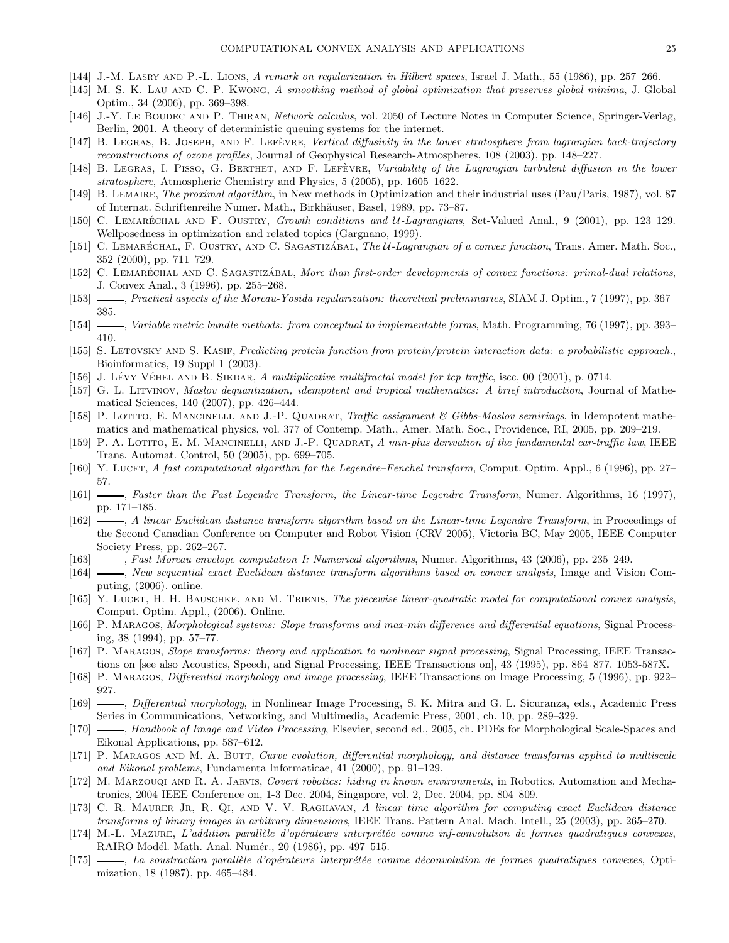- [144] J.-M. Lasry and P.-L. Lions, A remark on regularization in Hilbert spaces, Israel J. Math., 55 (1986), pp. 257–266.
- [145] M. S. K. LAU AND C. P. KWONG, A smoothing method of global optimization that preserves global minima, J. Global Optim., 34 (2006), pp. 369–398.
- [146] J.-Y. Le Boudec and P. Thiran, Network calculus, vol. 2050 of Lecture Notes in Computer Science, Springer-Verlag, Berlin, 2001. A theory of deterministic queuing systems for the internet.
- [147] B. LEGRAS, B. JOSEPH, AND F. LEFÈVRE, Vertical diffusivity in the lower stratosphere from lagrangian back-trajectory reconstructions of ozone profiles, Journal of Geophysical Research-Atmospheres, 108 (2003), pp. 148–227.
- [148] B. LEGRAS, I. PISSO, G. BERTHET, AND F. LEFÈVRE, Variability of the Lagrangian turbulent diffusion in the lower stratosphere, Atmospheric Chemistry and Physics, 5 (2005), pp. 1605–1622.
- [149] B. Lemaire, The proximal algorithm, in New methods in Optimization and their industrial uses (Pau/Paris, 1987), vol. 87 of Internat. Schriftenreihe Numer. Math., Birkhäuser, Basel, 1989, pp. 73–87.
- [150] C. LEMARÉCHAL AND F. OUSTRY, Growth conditions and U-Lagrangians, Set-Valued Anal., 9 (2001), pp. 123–129. Wellposedness in optimization and related topics (Gargnano, 1999).
- [151] C. LEMARÉCHAL, F. OUSTRY, AND C. SAGASTIZÁBAL, The U-Lagrangian of a convex function, Trans. Amer. Math. Soc., 352 (2000), pp. 711–729.
- [152] C. LEMARÉCHAL AND C. SAGASTIZÁBAL, More than first-order developments of convex functions: primal-dual relations, J. Convex Anal., 3 (1996), pp. 255–268.
- [153] Rractical aspects of the Moreau-Yosida regularization: theoretical preliminaries, SIAM J. Optim., 7 (1997), pp. 367– 385.
- [154] , Variable metric bundle methods: from conceptual to implementable forms, Math. Programming, 76 (1997), pp. 393– 410.
- [155] S. LETOVSKY AND S. KASIF, Predicting protein function from protein/protein interaction data: a probabilistic approach., Bioinformatics, 19 Suppl 1 (2003).
- [156] J. LÉVY VÉHEL AND B. SIKDAR, A multiplicative multifractal model for tcp traffic, iscc, 00 (2001), p. 0714.
- [157] G. L. Litvinov, Maslov dequantization, idempotent and tropical mathematics: A brief introduction, Journal of Mathematical Sciences, 140 (2007), pp. 426–444.
- [158] P. LOTITO, E. MANCINELLI, AND J.-P. QUADRAT, Traffic assignment & Gibbs-Maslov semirings, in Idempotent mathematics and mathematical physics, vol. 377 of Contemp. Math., Amer. Math. Soc., Providence, RI, 2005, pp. 209–219.
- [159] P. A. LOTITO, E. M. MANCINELLI, AND J.-P. QUADRAT, A min-plus derivation of the fundamental car-traffic law, IEEE Trans. Automat. Control, 50 (2005), pp. 699–705.
- [160] Y. Lucet, A fast computational algorithm for the Legendre–Fenchel transform, Comput. Optim. Appl., 6 (1996), pp. 27– 57.
- [161] , Faster than the Fast Legendre Transform, the Linear-time Legendre Transform, Numer. Algorithms, 16 (1997), pp. 171–185.
- [162]  $\longrightarrow$ , A linear Euclidean distance transform algorithm based on the Linear-time Legendre Transform, in Proceedings of the Second Canadian Conference on Computer and Robot Vision (CRV 2005), Victoria BC, May 2005, IEEE Computer Society Press, pp. 262–267.
- [163] , Fast Moreau envelope computation I: Numerical algorithms, Numer. Algorithms, 43 (2006), pp. 235–249.
- [164]  $\frac{1}{164}$   $\frac{1}{164}$   $\frac{1}{164}$   $\frac{1}{164}$   $\frac{1}{164}$   $\frac{1}{164}$   $\frac{1}{164}$   $\frac{1}{164}$   $\frac{1}{164}$   $\frac{1}{164}$   $\frac{1}{164}$   $\frac{1}{164}$   $\frac{1}{164}$   $\frac{1}{164}$   $\frac{1}{164}$   $\frac{1}{164}$   $\frac{1}{164}$   $\frac{1}{164}$  puting, (2006). online.
- [165] Y. LUCET, H. H. BAUSCHKE, AND M. TRIENIS, *The piecewise linear-quadratic model for computational convex analysis*, Comput. Optim. Appl., (2006). Online.
- [166] P. Maragos, Morphological systems: Slope transforms and max-min difference and differential equations, Signal Processing, 38 (1994), pp. 57–77.
- [167] P. Maragos, Slope transforms: theory and application to nonlinear signal processing, Signal Processing, IEEE Transactions on [see also Acoustics, Speech, and Signal Processing, IEEE Transactions on], 43 (1995), pp. 864–877. 1053-587X.
- [168] P. Maragos, Differential morphology and image processing, IEEE Transactions on Image Processing, 5 (1996), pp. 922– 927.
- [169] —, Differential morphology, in Nonlinear Image Processing, S. K. Mitra and G. L. Sicuranza, eds., Academic Press Series in Communications, Networking, and Multimedia, Academic Press, 2001, ch. 10, pp. 289–329.
- [170]  $\_\_\_\_\$  Handbook of Image and Video Processing, Elsevier, second ed., 2005, ch. PDEs for Morphological Scale-Spaces and Eikonal Applications, pp. 587–612.
- [171] P. MARAGOS AND M. A. BUTT, Curve evolution, differential morphology, and distance transforms applied to multiscale and Eikonal problems, Fundamenta Informaticae, 41 (2000), pp. 91–129.
- [172] M. Marzouqi and R. A. Jarvis, Covert robotics: hiding in known environments, in Robotics, Automation and Mechatronics, 2004 IEEE Conference on, 1-3 Dec. 2004, Singapore, vol. 2, Dec. 2004, pp. 804–809.
- [173] C. R. MAURER JR, R. QI, AND V. V. RAGHAVAN, A linear time algorithm for computing exact Euclidean distance transforms of binary images in arbitrary dimensions, IEEE Trans. Pattern Anal. Mach. Intell., 25 (2003), pp. 265–270.
- [174] M.-L. MAZURE, L'addition parallèle d'opérateurs interprétée comme inf-convolution de formes quadratiques convexes, RAIRO Modél. Math. Anal. Numér., 20 (1986), pp. 497-515.
- $[175]$  ——, La soustraction parallèle d'opérateurs interprétée comme déconvolution de formes quadratiques convexes, Optimization, 18 (1987), pp. 465–484.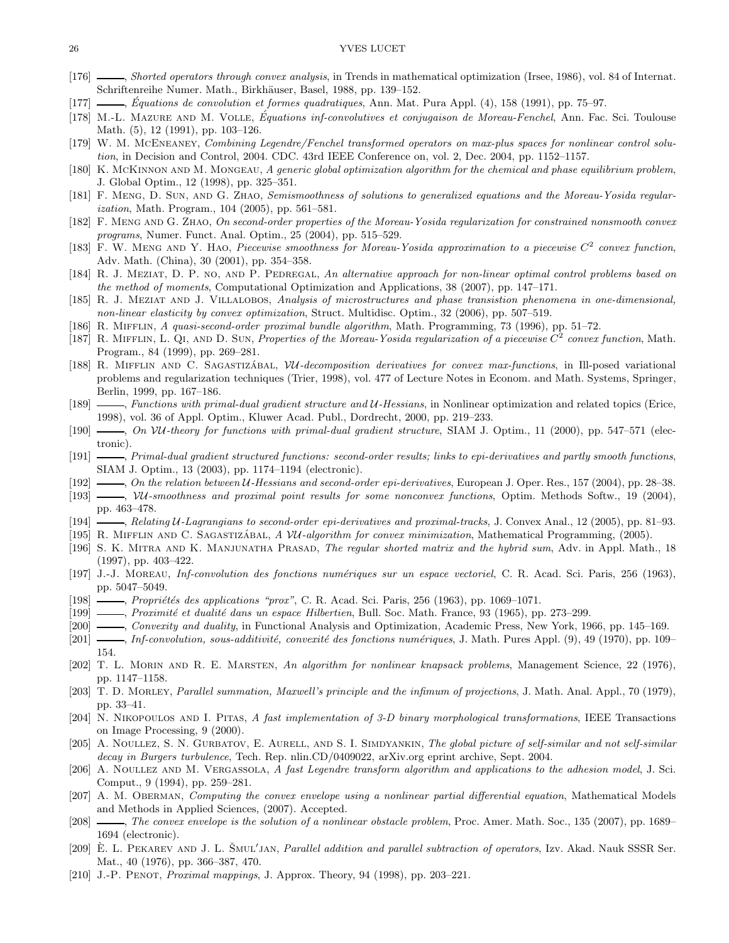- [176] , Shorted operators through convex analysis, in Trends in mathematical optimization (Irsee, 1986), vol. 84 of Internat. Schriftenreihe Numer. Math., Birkhäuser, Basel, 1988, pp. 139–152.
- $[177]$  , Equations de convolution et formes quadratiques, Ann. Mat. Pura Appl. (4), 158 (1991), pp. 75–97.
- [178] M.-L. MAZURE AND M. VOLLE, Équations inf-convolutives et conjugaison de Moreau-Fenchel, Ann. Fac. Sci. Toulouse Math. (5), 12 (1991), pp. 103–126.
- [179] W. M. McEneaney, Combining Legendre/Fenchel transformed operators on max-plus spaces for nonlinear control solution, in Decision and Control, 2004. CDC. 43rd IEEE Conference on, vol. 2, Dec. 2004, pp. 1152–1157.
- [180] K. McKinnon and M. Mongeau, A generic global optimization algorithm for the chemical and phase equilibrium problem, J. Global Optim., 12 (1998), pp. 325–351.
- [181] F. Meng, D. Sun, and G. Zhao, Semismoothness of solutions to generalized equations and the Moreau-Yosida regularization, Math. Program., 104 (2005), pp. 561–581.
- [182] F. Meng and G. Zhao, On second-order properties of the Moreau-Yosida regularization for constrained nonsmooth convex programs, Numer. Funct. Anal. Optim., 25 (2004), pp. 515–529.
- [183] F. W. MENG AND Y. HAO, Piecewise smoothness for Moreau-Yosida approximation to a piecewise  $C^2$  convex function, Adv. Math. (China), 30 (2001), pp. 354–358.
- [184] R. J. Meziat, D. P. no, and P. Pedregal, An alternative approach for non-linear optimal control problems based on the method of moments, Computational Optimization and Applications, 38 (2007), pp. 147–171.
- [185] R. J. Meziat and J. Villalobos, Analysis of microstructures and phase transistion phenomena in one-dimensional, non-linear elasticity by convex optimization, Struct. Multidisc. Optim., 32 (2006), pp. 507–519.
- [186] R. Mifflin, A quasi-second-order proximal bundle algorithm, Math. Programming, 73 (1996), pp. 51–72.
- [187] R. MIFFLIN, L. QI, AND D. SUN, Properties of the Moreau-Yosida regularization of a piecewise  $C^2$  convex function, Math. Program., 84 (1999), pp. 269–281.
- [188] R. MIFFLIN AND C. SAGASTIZÁBAL, VU-decomposition derivatives for convex max-functions, in Ill-posed variational problems and regularization techniques (Trier, 1998), vol. 477 of Lecture Notes in Econom. and Math. Systems, Springer, Berlin, 1999, pp. 167–186.
- [189]  $\_\_\_\_\_\$  Functions with primal-dual gradient structure and U-Hessians, in Nonlinear optimization and related topics (Erice, 1998), vol. 36 of Appl. Optim., Kluwer Acad. Publ., Dordrecht, 2000, pp. 219–233.
- $[190]$  , On VU-theory for functions with primal-dual gradient structure, SIAM J. Optim., 11 (2000), pp. 547–571 (electronic).
- [191]  $\_\_\_\_\_$  Primal-dual gradient structured functions: second-order results; links to epi-derivatives and partly smooth functions, SIAM J. Optim., 13 (2003), pp. 1174–1194 (electronic).
- [192] , On the relation between U-Hessians and second-order epi-derivatives, European J. Oper. Res., 157 (2004), pp. 28–38.
- [193] , VU-smoothness and proximal point results for some nonconvex functions, Optim. Methods Softw., 19 (2004), pp. 463–478.
- [194] , Relating U-Lagrangians to second-order epi-derivatives and proximal-tracks, J. Convex Anal., 12 (2005), pp. 81–93.
- [195] R. MIFFLIN AND C. SAGASTIZÁBAL, A VU-algorithm for convex minimization, Mathematical Programming, (2005).
- [196] S. K. MITRA AND K. MANJUNATHA PRASAD, *The regular shorted matrix and the hybrid sum*, Adv. in Appl. Math., 18 (1997), pp. 403–422.
- [197] J.-J. Moreau, Inf-convolution des fonctions num´eriques sur un espace vectoriel, C. R. Acad. Sci. Paris, 256 (1963), pp. 5047–5049.
- [198]  $\_\_\_\_\_\$  Propriétés des applications "prox", C. R. Acad. Sci. Paris, 256 (1963), pp. 1069–1071.
- [199] , Proximité et dualité dans un espace Hilbertien, Bull. Soc. Math. France, 93 (1965), pp. 273–299.
- [200] , Convexity and duality, in Functional Analysis and Optimization, Academic Press, New York, 1966, pp. 145–169.
- [201]  $\_\_\_\_\_\$ nf-convolution, sous-additivité, convexité des fonctions numériques, J. Math. Pures Appl. (9), 49 (1970), pp. 109– 154.
- [202] T. L. Morin and R. E. Marsten, An algorithm for nonlinear knapsack problems, Management Science, 22 (1976), pp. 1147–1158.
- [203] T. D. Morley, Parallel summation, Maxwell's principle and the infimum of projections, J. Math. Anal. Appl., 70 (1979), pp. 33–41.
- [204] N. Nikopoulos and I. Pitas, A fast implementation of 3-D binary morphological transformations, IEEE Transactions on Image Processing, 9 (2000).
- [205] A. NOULLEZ, S. N. GURBATOV, E. AURELL, AND S. I. SIMDYANKIN, The global picture of self-similar and not self-similar decay in Burgers turbulence, Tech. Rep. nlin.CD/0409022, arXiv.org eprint archive, Sept. 2004.
- [206] A. Noullez and M. Vergassola, A fast Legendre transform algorithm and applications to the adhesion model, J. Sci. Comput., 9 (1994), pp. 259–281.
- [207] A. M. OBERMAN, Computing the convex envelope using a nonlinear partial differential equation, Mathematical Models and Methods in Applied Sciences, (2007). Accepted.
- [208]  $\_\_\_\_\_\_\_\_\_\_\_\_\_\_\_\_\_\_\_\.\_$  The convex envelope is the solution of a nonlinear obstacle problem, Proc. Amer. Math. Soc., 135 (2007), pp. 1689– 1694 (electronic).
- [209] È. L. PEKAREV AND J. L. ŠMUL'JAN, Parallel addition and parallel subtraction of operators, Izv. Akad. Nauk SSSR Ser. Mat., 40 (1976), pp. 366–387, 470.
- [210] J.-P. PENOT, *Proximal mappings*, J. Approx. Theory, 94 (1998), pp. 203–221.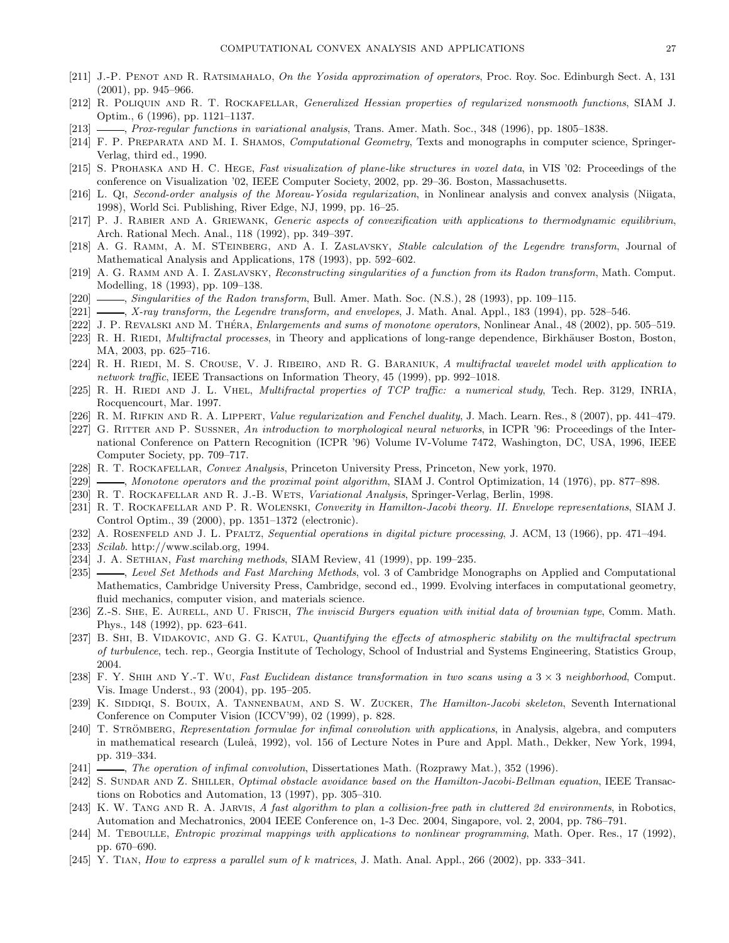- [211] J.-P. PENOT AND R. RATSIMAHALO, On the Yosida approximation of operators, Proc. Roy. Soc. Edinburgh Sect. A, 131 (2001), pp. 945–966.
- [212] R. Poliquin and R. T. Rockafellar, Generalized Hessian properties of regularized nonsmooth functions, SIAM J. Optim., 6 (1996), pp. 1121–1137.
- [213] , Prox-regular functions in variational analysis, Trans. Amer. Math. Soc., 348 (1996), pp. 1805–1838.
- [214] F. P. Preparata and M. I. Shamos, Computational Geometry, Texts and monographs in computer science, Springer-Verlag, third ed., 1990.
- [215] S. PROHASKA AND H. C. HEGE, Fast visualization of plane-like structures in voxel data, in VIS '02: Proceedings of the conference on Visualization '02, IEEE Computer Society, 2002, pp. 29–36. Boston, Massachusetts.
- [216] L. Qi, Second-order analysis of the Moreau-Yosida regularization, in Nonlinear analysis and convex analysis (Niigata, 1998), World Sci. Publishing, River Edge, NJ, 1999, pp. 16–25.
- [217] P. J. Rabier and A. Griewank, Generic aspects of convexification with applications to thermodynamic equilibrium, Arch. Rational Mech. Anal., 118 (1992), pp. 349–397.
- [218] A. G. RAMM, A. M. STEINBERG, AND A. I. ZASLAVSKY, Stable calculation of the Legendre transform, Journal of Mathematical Analysis and Applications, 178 (1993), pp. 592–602.
- [219] A. G. Ramm and A. I. Zaslavsky, Reconstructing singularities of a function from its Radon transform, Math. Comput. Modelling, 18 (1993), pp. 109–138.
- [220] Singularities of the Radon transform, Bull. Amer. Math. Soc. (N.S.), 28 (1993), pp. 109–115.
- [221] , X-ray transform, the Legendre transform, and envelopes, J. Math. Anal. Appl., 183 (1994), pp. 528–546.
- [222] J. P. REVALSKI AND M. THÉRA, Enlargements and sums of monotone operators, Nonlinear Anal., 48 (2002), pp. 505–519. [223] R. H. RIEDI, *Multifractal processes*, in Theory and applications of long-range dependence, Birkhäuser Boston, Boston,
- MA, 2003, pp. 625–716. [224] R. H. RIEDI, M. S. CROUSE, V. J. RIBEIRO, AND R. G. BARANIUK, A multifractal wavelet model with application to
- network traffic, IEEE Transactions on Information Theory, 45 (1999), pp. 992–1018. [225] R. H. RIEDI AND J. L. VHEL, Multifractal properties of TCP traffic: a numerical study, Tech. Rep. 3129, INRIA,
- Rocquencourt, Mar. 1997. [226] R. M. Rifkin and R. A. Lippert, Value regularization and Fenchel duality, J. Mach. Learn. Res., 8 (2007), pp. 441–479.
- [227] G. RITTER AND P. SUSSNER, An introduction to morphological neural networks, in ICPR '96: Proceedings of the International Conference on Pattern Recognition (ICPR '96) Volume IV-Volume 7472, Washington, DC, USA, 1996, IEEE Computer Society, pp. 709–717.
- [228] R. T. Rockafellar, Convex Analysis, Princeton University Press, Princeton, New york, 1970.
- [229] , Monotone operators and the proximal point algorithm, SIAM J. Control Optimization, 14 (1976), pp. 877–898.
- [230] R. T. Rockafellar and R. J.-B. Wets, Variational Analysis, Springer-Verlag, Berlin, 1998.
- [231] R. T. ROCKAFELLAR AND P. R. WOLENSKI, Convexity in Hamilton-Jacobi theory. II. Envelope representations, SIAM J. Control Optim., 39 (2000), pp. 1351–1372 (electronic).
- [232] A. Rosenfeld and J. L. Pfaltz, Sequential operations in digital picture processing, J. ACM, 13 (1966), pp. 471–494.
- [233] Scilab. http://www.scilab.org, 1994.
- [234] J. A. SETHIAN, Fast marching methods, SIAM Review, 41 (1999), pp. 199–235.
- [235] , Level Set Methods and Fast Marching Methods, vol. 3 of Cambridge Monographs on Applied and Computational Mathematics, Cambridge University Press, Cambridge, second ed., 1999. Evolving interfaces in computational geometry, fluid mechanics, computer vision, and materials science.
- [236] Z.-S. She, E. Aurell, and U. Frisch, The inviscid Burgers equation with initial data of brownian type, Comm. Math. Phys., 148 (1992), pp. 623–641.
- [237] B. Shi, B. Vidakovic, and G. G. Katul, Quantifying the effects of atmospheric stability on the multifractal spectrum of turbulence, tech. rep., Georgia Institute of Techology, School of Industrial and Systems Engineering, Statistics Group, 2004.
- [238] F. Y. SHIH AND Y.-T. WU, Fast Euclidean distance transformation in two scans using a  $3 \times 3$  neighborhood, Comput. Vis. Image Underst., 93 (2004), pp. 195–205.
- [239] K. SIDDIQI, S. BOUIX, A. TANNENBAUM, AND S. W. ZUCKER, The Hamilton-Jacobi skeleton, Seventh International Conference on Computer Vision (ICCV'99), 02 (1999), p. 828.
- [240] T. STRÖMBERG, Representation formulae for infimal convolution with applications, in Analysis, algebra, and computers in mathematical research (Luleå, 1992), vol. 156 of Lecture Notes in Pure and Appl. Math., Dekker, New York, 1994, pp. 319–334.
- [241] , The operation of infimal convolution, Dissertationes Math. (Rozprawy Mat.), 352 (1996).
- [242] S. Sundar and Z. Shiller, Optimal obstacle avoidance based on the Hamilton-Jacobi-Bellman equation, IEEE Transactions on Robotics and Automation, 13 (1997), pp. 305–310.
- [243] K. W. TANG AND R. A. JARVIS, A fast algorithm to plan a collision-free path in cluttered 2d environments, in Robotics, Automation and Mechatronics, 2004 IEEE Conference on, 1-3 Dec. 2004, Singapore, vol. 2, 2004, pp. 786–791.
- [244] M. TEBOULLE, *Entropic proximal mappings with applications to nonlinear programming*, Math. Oper. Res., 17 (1992), pp. 670–690.
- $[245]$  Y. TIAN, How to express a parallel sum of k matrices, J. Math. Anal. Appl., 266 (2002), pp. 333–341.